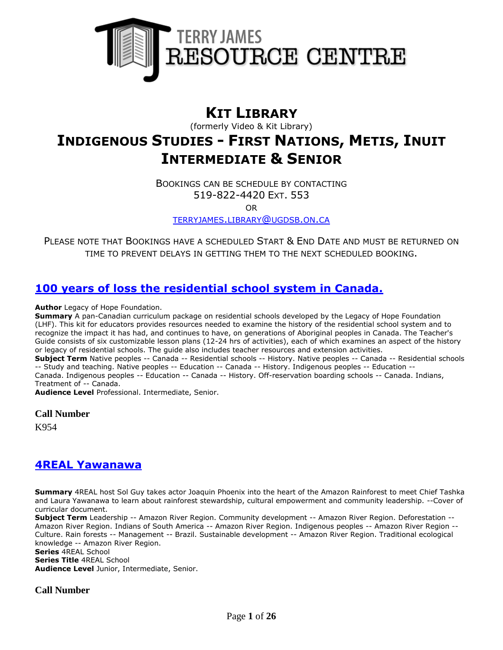

# **KIT LIBRARY**

(formerly Video & Kit Library)

# **INDIGENOUS STUDIES - FIRST NATIONS, METIS, INUIT INTERMEDIATE & SENIOR**

BOOKINGS CAN BE SCHEDULE BY CONTACTING 519-822-4420 EXT. 553

OR

[TERRYJAMES](mailto:terryjames.library@ugdsb.on.ca).LIBRARY@UGDSB.ON.CA

PLEASE NOTE THAT BOOKINGS HAVE A SCHEDULED START & END DATE AND MUST BE RETURNED ON TIME TO PREVENT DELAYS IN GETTING THEM TO THE NEXT SCHEDULED BOOKING.

#### **[100 years of loss the residential school system in Canada.](https://ug.ent.sirsidynix.net/client/en_CA/TJR/search/detailnonmodal/ent:$002f$002fSD_ILS$002f0$002fSD_ILS:257621/email?)**

**Author** Legacy of Hope Foundation.

**Summary** A pan-Canadian curriculum package on residential schools developed by the Legacy of Hope Foundation (LHF). This kit for educators provides resources needed to examine the history of the residential school system and to recognize the impact it has had, and continues to have, on generations of Aboriginal peoples in Canada. The Teacher's Guide consists of six customizable lesson plans (12-24 hrs of activities), each of which examines an aspect of the history or legacy of residential schools. The guide also includes teacher resources and extension activities. **Subject Term** Native peoples -- Canada -- Residential schools -- History. Native peoples -- Canada -- Residential schools -- Study and teaching. Native peoples -- Education -- Canada -- History. Indigenous peoples -- Education -- Canada. Indigenous peoples -- Education -- Canada -- History. Off-reservation boarding schools -- Canada. Indians,

Treatment of -- Canada.

**Audience Level** Professional. Intermediate, Senior.

#### **Call Number**

K954

#### **[4REAL Yawanawa](https://ug.ent.sirsidynix.net/client/en_CA/TJR/search/detailnonmodal/ent:$002f$002fSD_ILS$002f0$002fSD_ILS:215767/email?)**

**Summary** 4REAL host Sol Guy takes actor Joaquin Phoenix into the heart of the Amazon Rainforest to meet Chief Tashka and Laura Yawanawa to learn about rainforest stewardship, cultural empowerment and community leadership. --Cover of curricular document.

**Subject Term** Leadership -- Amazon River Region. Community development -- Amazon River Region. Deforestation -- Amazon River Region. Indians of South America -- Amazon River Region. Indigenous peoples -- Amazon River Region -- Culture. Rain forests -- Management -- Brazil. Sustainable development -- Amazon River Region. Traditional ecological knowledge -- Amazon River Region.

**Series** 4REAL School **Series Title** 4REAL School **Audience Level** Junior, Intermediate, Senior.

**Call Number**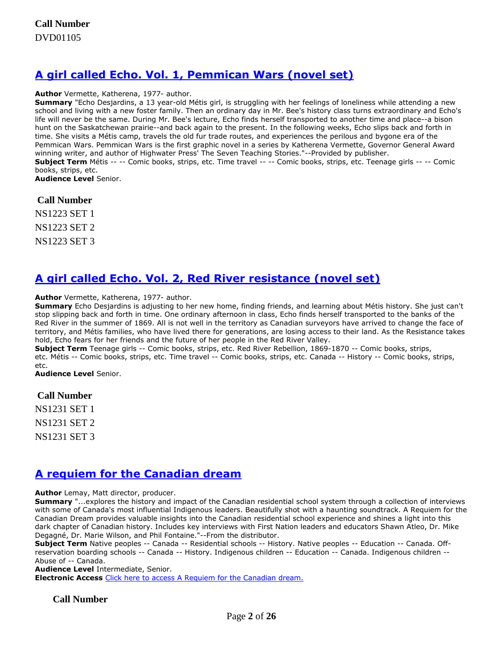# **[A girl called Echo. Vol. 1, Pemmican Wars \(novel set\)](https://ug.ent.sirsidynix.net/client/en_CA/TJR/search/detailnonmodal/ent:$002f$002fSD_ILS$002f0$002fSD_ILS:314636/email?)**

#### **Author** Vermette, Katherena, 1977- author.

**Summary** "Echo Desjardins, a 13 year-old Métis girl, is struggling with her feelings of loneliness while attending a new school and living with a new foster family. Then an ordinary day in Mr. Bee's history class turns extraordinary and Echo's life will never be the same. During Mr. Bee's lecture, Echo finds herself transported to another time and place--a bison hunt on the Saskatchewan prairie--and back again to the present. In the following weeks, Echo slips back and forth in time. She visits a Métis camp, travels the old fur trade routes, and experiences the perilous and bygone era of the Pemmican Wars. Pemmican Wars is the first graphic novel in a series by Katherena Vermette, Governor General Award winning writer, and author of Highwater Press' The Seven Teaching Stories."--Provided by publisher. **Subject Term** Métis -- -- Comic books, strips, etc. Time travel -- -- Comic books, strips, etc. Teenage girls -- -- Comic books, strips, etc. **Audience Level** Senior.

**Call Number**

NS1223 SET 1 NS1223 SET 2 NS1223 SET 3

# **[A girl called Echo. Vol. 2, Red River resistance \(novel set\)](https://ug.ent.sirsidynix.net/client/en_CA/TJR/search/detailnonmodal/ent:$002f$002fSD_ILS$002f0$002fSD_ILS:322218/email?)**

**Author** Vermette, Katherena, 1977- author.

**Summary** Echo Desjardins is adjusting to her new home, finding friends, and learning about Métis history. She just can't stop slipping back and forth in time. One ordinary afternoon in class, Echo finds herself transported to the banks of the Red River in the summer of 1869. All is not well in the territory as Canadian surveyors have arrived to change the face of territory, and Métis families, who have lived there for generations, are losing access to their land. As the Resistance takes hold, Echo fears for her friends and the future of her people in the Red River Valley.

**Subject Term** Teenage girls -- Comic books, strips, etc. Red River Rebellion, 1869-1870 -- Comic books, strips, etc. Métis -- Comic books, strips, etc. Time travel -- Comic books, strips, etc. Canada -- History -- Comic books, strips, etc.

**Audience Level** Senior.

#### **Call Number**

NS1231 SET 1 NS1231 SET 2 NS1231 SET 3

## **[A requiem for the Canadian dream](https://ug.ent.sirsidynix.net/client/en_CA/TJR/search/detailnonmodal/ent:$002f$002fSD_ILS$002f0$002fSD_ILS:305555/email?)**

**Author** Lemay, Matt director, producer.

**Summary** "...explores the history and impact of the Canadian residential school system through a collection of interviews with some of Canada's most influential Indigenous leaders. Beautifully shot with a haunting soundtrack. A Requiem for the Canadian Dream provides valuable insights into the Canadian residential school experience and shines a light into this dark chapter of Canadian history. Includes key interviews with First Nation leaders and educators Shawn Atleo, Dr. Mike Degagné, Dr. Marie Wilson, and Phil Fontaine."--From the distributor.

**Subject Term** Native peoples -- Canada -- Residential schools -- History. Native peoples -- Education -- Canada. Offreservation boarding schools -- Canada -- History. Indigenous children -- Education -- Canada. Indigenous children -- Abuse of -- Canada.

**Audience Level** Intermediate, Senior.

**Electronic Access** [Click here to access A Requiem for the Canadian dream.](https://learn360.infobase.com/p_ViewVideo.aspx?customID=51519)

#### **Call Number**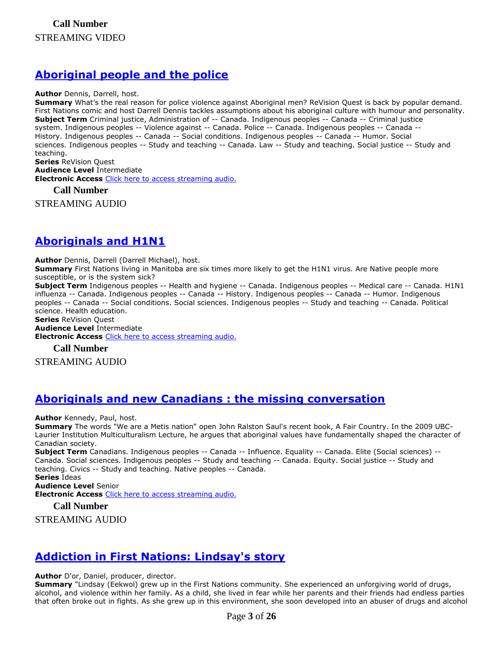# **[Aboriginal people and the police](https://ug.ent.sirsidynix.net/client/en_CA/TJR/search/detailnonmodal/ent:$002f$002fSD_ILS$002f0$002fSD_ILS:311225/email?)**

#### **Author** Dennis, Darrell, host.

**Summary** What's the real reason for police violence against Aboriginal men? ReVision Quest is back by popular demand. First Nations comic and host Darrell Dennis tackles assumptions about his aboriginal culture with humour and personality. **Subject Term** Criminal justice, Administration of -- Canada. Indigenous peoples -- Canada -- Criminal justice system. Indigenous peoples -- Violence against -- Canada. Police -- Canada. Indigenous peoples -- Canada -- History. Indigenous peoples -- Canada -- Social conditions. Indigenous peoples -- Canada -- Humor. Social sciences. Indigenous peoples -- Study and teaching -- Canada. Law -- Study and teaching. Social justice -- Study and teaching. **Series** ReVision Quest

**Audience Level** Intermediate **Electronic Access** [Click here to access streaming audio.](http://curio.ca/en/audio/aboriginal-people-and-the-police-3188/)

**Call Number**

STREAMING AUDIO

# **[Aboriginals and H1N1](https://ug.ent.sirsidynix.net/client/en_CA/TJR/search/detailnonmodal/ent:$002f$002fSD_ILS$002f0$002fSD_ILS:311460/email?)**

**Author** Dennis, Darrell (Darrell Michael), host.

**Summary** First Nations living in Manitoba are six times more likely to get the H1N1 virus. Are Native people more susceptible, or is the system sick?

**Subject Term** Indigenous peoples -- Health and hygiene -- Canada. Indigenous peoples -- Medical care -- Canada. H1N1 influenza -- Canada. Indigenous peoples -- Canada -- History. Indigenous peoples -- Canada -- Humor. Indigenous peoples -- Canada -- Social conditions. Social sciences. Indigenous peoples -- Study and teaching -- Canada. Political science. Health education. **Series** ReVision Quest

**Audience Level** Intermediate **Electronic Access** [Click here to access streaming audio.](http://curio.ca/en/audio/aboriginals-and-h1n1-3190/)

**Call Number**

STREAMING AUDIO

## **[Aboriginals and new Canadians : the missing conversation](https://ug.ent.sirsidynix.net/client/en_CA/TJR/search/detailnonmodal/ent:$002f$002fSD_ILS$002f0$002fSD_ILS:311230/email?)**

**Author** Kennedy, Paul, host.

**Summary** The words "We are a Metis nation" open John Ralston Saul's recent book, A Fair Country. In the 2009 UBC-Laurier Institution Multiculturalism Lecture, he argues that aboriginal values have fundamentally shaped the character of Canadian society.

**Subject Term** Canadians. Indigenous peoples -- Canada -- Influence. Equality -- Canada. Elite (Social sciences) -- Canada. Social sciences. Indigenous peoples -- Study and teaching -- Canada. Equity. Social justice -- Study and teaching. Civics -- Study and teaching. Native peoples -- Canada. **Series** Ideas

**Audience Level** Senior

**Electronic Access** [Click here to access streaming audio.](http://curio.ca/en/audio/aboriginals-and-new-canadians-the-missing-conversation-3481/)

**Call Number**

STREAMING AUDIO

# **[Addiction in First Nations: Lindsay's story](https://ug.ent.sirsidynix.net/client/en_CA/TJR/search/detailnonmodal/ent:$002f$002fSD_ILS$002f0$002fSD_ILS:321020/email?)**

**Author** D'or, Daniel, producer, director.

**Summary** "Lindsay (Eekwol) grew up in the First Nations community. She experienced an unforgiving world of drugs, alcohol, and violence within her family. As a child, she lived in fear while her parents and their friends had endless parties that often broke out in fights. As she grew up in this environment, she soon developed into an abuser of drugs and alcohol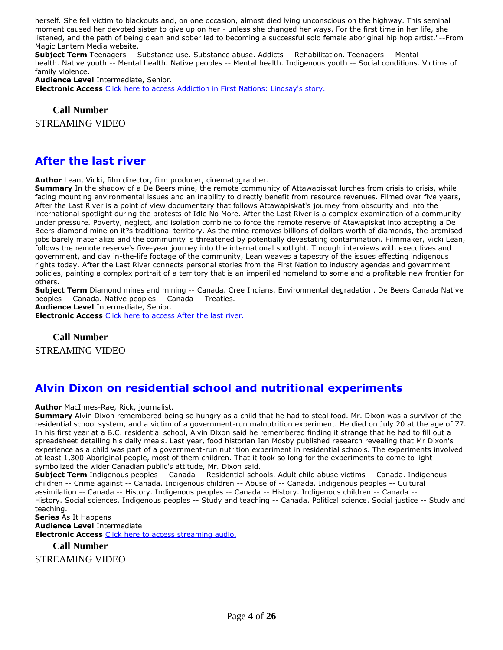herself. She fell victim to blackouts and, on one occasion, almost died lying unconscious on the highway. This seminal moment caused her devoted sister to give up on her - unless she changed her ways. For the first time in her life, she listened, and the path of being clean and sober led to becoming a successful solo female aboriginal hip hop artist."--From Magic Lantern Media website.

**Subject Term** Teenagers -- Substance use. Substance abuse. Addicts -- Rehabilitation. Teenagers -- Mental health. Native youth -- Mental health. Native peoples -- Mental health. Indigenous youth -- Social conditions. Victims of family violence.

**Audience Level** Intermediate, Senior.

**Electronic Access** [Click here to access Addiction in First Nations: Lindsay's story.](https://learn360.infobase.com/p_ViewVideo.aspx?customID=52214)

**Call Number**

STREAMING VIDEO

#### **[After the last river](https://ug.ent.sirsidynix.net/client/en_CA/TJR/search/detailnonmodal/ent:$002f$002fSD_ILS$002f0$002fSD_ILS:321428/email?)**

**Author** Lean, Vicki, film director, film producer, cinematographer.

**Summary** In the shadow of a De Beers mine, the remote community of Attawapiskat lurches from crisis to crisis, while facing mounting environmental issues and an inability to directly benefit from resource revenues. Filmed over five years, After the Last River is a point of view documentary that follows Attawapiskat's journey from obscurity and into the international spotlight during the protests of Idle No More. After the Last River is a complex examination of a community under pressure. Poverty, neglect, and isolation combine to force the remote reserve of Atawapiskat into accepting a De Beers diamond mine on it?s traditional territory. As the mine removes billions of dollars worth of diamonds, the promised jobs barely materialize and the community is threatened by potentially devastating contamination. Filmmaker, Vicki Lean, follows the remote reserve's five-year journey into the international spotlight. Through interviews with executives and government, and day in-the-life footage of the community, Lean weaves a tapestry of the issues effecting indigenous rights today. After the Last River connects personal stories from the First Nation to industry agendas and government policies, painting a complex portrait of a territory that is an imperilled homeland to some and a profitable new frontier for others.

**Subject Term** Diamond mines and mining -- Canada. Cree Indians. Environmental degradation. De Beers Canada Native peoples -- Canada. Native peoples -- Canada -- Treaties.

**Audience Level** Intermediate, Senior.

**Electronic Access** [Click here to access After the last river.](https://learn360.infobase.com/p_ViewVideo.aspx?customID=52220)

**Call Number**

STREAMING VIDEO

#### **[Alvin Dixon on residential school and nutritional experiments](https://ug.ent.sirsidynix.net/client/en_CA/TJR/search/detailnonmodal/ent:$002f$002fSD_ILS$002f0$002fSD_ILS:309416/email?)**

**Author** MacInnes-Rae, Rick, journalist.

**Summary** Alvin Dixon remembered being so hungry as a child that he had to steal food. Mr. Dixon was a survivor of the residential school system, and a victim of a government-run malnutrition experiment. He died on July 20 at the age of 77. In his first year at a B.C. residential school, Alvin Dixon said he remembered finding it strange that he had to fill out a spreadsheet detailing his daily meals. Last year, food historian Ian Mosby published research revealing that Mr Dixon's experience as a child was part of a government-run nutrition experiment in residential schools. The experiments involved at least 1,300 Aboriginal people, most of them children. That it took so long for the experiments to come to light symbolized the wider Canadian public's attitude, Mr. Dixon said.

**Subject Term** Indigenous peoples -- Canada -- Residential schools. Adult child abuse victims -- Canada. Indigenous children -- Crime against -- Canada. Indigenous children -- Abuse of -- Canada. Indigenous peoples -- Cultural assimilation -- Canada -- History. Indigenous peoples -- Canada -- History. Indigenous children -- Canada -- History. Social sciences. Indigenous peoples -- Study and teaching -- Canada. Political science. Social justice -- Study and teaching.

**Series** As It Happens **Audience Level** Intermediate **Electronic Access** [Click here to access streaming audio.](http://curio.ca/en/audio/alvin-dixon-on-residential-school-and-nutritional-experiments-4257/)

**Call Number**

STREAMING VIDEO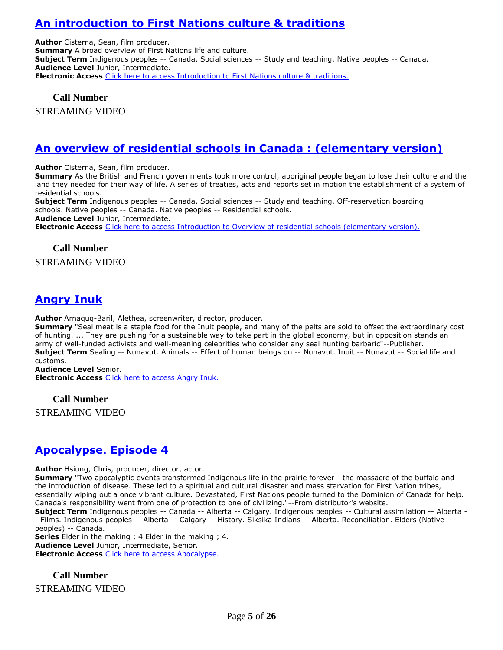# **[An introduction to First Nations culture & traditions](https://ug.ent.sirsidynix.net/client/en_CA/TJR/search/detailnonmodal/ent:$002f$002fSD_ILS$002f0$002fSD_ILS:297681/email?)**

**Author** Cisterna, Sean, film producer. **Summary** A broad overview of First Nations life and culture. **Subject Term** Indigenous peoples -- Canada. Social sciences -- Study and teaching. Native peoples -- Canada. **Audience Level** Junior, Intermediate. **Electronic Access** [Click here to access Introduction to First Nations culture & traditions.](http://learn360.infobase.com/p_ViewVideo.aspx?customID=49321)

**Call Number** STREAMING VIDEO

# **[An overview of residential schools in Canada : \(elementary version\)](https://ug.ent.sirsidynix.net/client/en_CA/TJR/search/detailnonmodal/ent:$002f$002fSD_ILS$002f0$002fSD_ILS:297683/email?)**

**Author** Cisterna, Sean, film producer.

**Summary** As the British and French governments took more control, aboriginal people began to lose their culture and the land they needed for their way of life. A series of treaties, acts and reports set in motion the establishment of a system of residential schools.

**Subject Term** Indigenous peoples -- Canada. Social sciences -- Study and teaching. Off-reservation boarding schools. Native peoples -- Canada. Native peoples -- Residential schools.

**Audience Level** Junior, Intermediate.

**Electronic Access** [Click here to access Introduction to Overview of residential schools \(elementary version\).](http://learn360.infobase.com/p_ViewVideo.aspx?customID=49322)

#### **Call Number**

#### STREAMING VIDEO

## **[Angry Inuk](https://ug.ent.sirsidynix.net/client/en_CA/TJR/search/detailnonmodal/ent:$002f$002fSD_ILS$002f0$002fSD_ILS:322279/email?)**

**Author** Arnaquq-Baril, Alethea, screenwriter, director, producer.

**Summary** "Seal meat is a staple food for the Inuit people, and many of the pelts are sold to offset the extraordinary cost of hunting. ... They are pushing for a sustainable way to take part in the global economy, but in opposition stands an army of well-funded activists and well-meaning celebrities who consider any seal hunting barbaric"--Publisher. **Subject Term** Sealing -- Nunavut. Animals -- Effect of human beings on -- Nunavut. Inuit -- Nunavut -- Social life and customs.

**Audience Level** Senior.

**Electronic Access** [Click here to access Angry Inuk.](https://learn360.infobase.com/p_ViewVideo.aspx?customID=52192)

**Call Number** STREAMING VIDEO

## **[Apocalypse. Episode 4](https://ug.ent.sirsidynix.net/client/en_CA/TJR/search/detailnonmodal/ent:$002f$002fSD_ILS$002f0$002fSD_ILS:321567/email?)**

**Author** Hsiung, Chris, producer, director, actor.

**Summary** "Two apocalyptic events transformed Indigenous life in the prairie forever - the massacre of the buffalo and the introduction of disease. These led to a spiritual and cultural disaster and mass starvation for First Nation tribes, essentially wiping out a once vibrant culture. Devastated, First Nations people turned to the Dominion of Canada for help. Canada's responsibility went from one of protection to one of civilizing."--From distributor's website.

**Subject Term** Indigenous peoples -- Canada -- Alberta -- Calgary. Indigenous peoples -- Cultural assimilation -- Alberta - - Films. Indigenous peoples -- Alberta -- Calgary -- History. Siksika Indians -- Alberta. Reconciliation. Elders (Native peoples) -- Canada.

**Series** Elder in the making ; 4 Elder in the making ; 4. **Audience Level** Junior, Intermediate, Senior. **Electronic Access** [Click here to access Apocalypse.](https://learn360.infobase.com/p_ViewVideo.aspx?customID=52234)

**Call Number** STREAMING VIDEO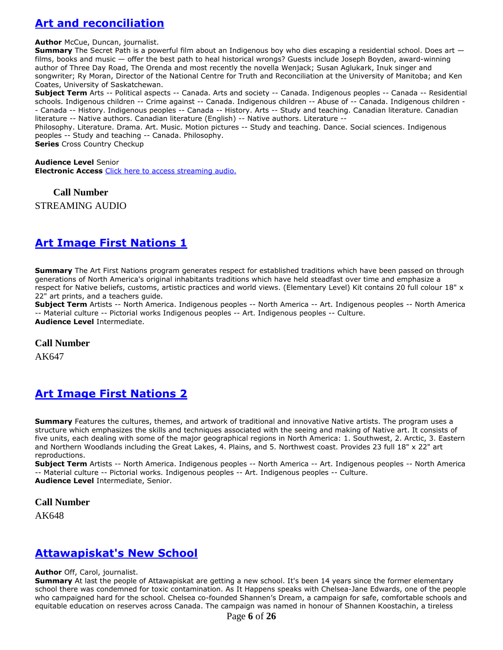# **[Art and reconciliation](https://ug.ent.sirsidynix.net/client/en_CA/TJR/search/detailnonmodal/ent:$002f$002fSD_ILS$002f0$002fSD_ILS:307614/email?)**

**Author** McCue, Duncan, journalist.

**Summary** The Secret Path is a powerful film about an Indigenous boy who dies escaping a residential school. Does art films, books and music — offer the best path to heal historical wrongs? Guests include Joseph Boyden, award-winning author of Three Day Road, The Orenda and most recently the novella Wenjack; Susan Aglukark, Inuk singer and songwriter; Ry Moran, Director of the National Centre for Truth and Reconciliation at the University of Manitoba; and Ken Coates, University of Saskatchewan.

**Subject Term** Arts -- Political aspects -- Canada. Arts and society -- Canada. Indigenous peoples -- Canada -- Residential schools. Indigenous children -- Crime against -- Canada. Indigenous children -- Abuse of -- Canada. Indigenous children - - Canada -- History. Indigenous peoples -- Canada -- History. Arts -- Study and teaching. Canadian literature. Canadian literature -- Native authors. Canadian literature (English) -- Native authors. Literature --

Philosophy. Literature. Drama. Art. Music. Motion pictures -- Study and teaching. Dance. Social sciences. Indigenous peoples -- Study and teaching -- Canada. Philosophy.

**Series** Cross Country Checkup

**Audience Level** Senior **Electronic Access** [Click here to access streaming audio.](http://curio.ca/en/audio/art-and-reconciliation-12181/)

**Call Number**

STREAMING AUDIO

# **[Art Image First Nations 1](https://ug.ent.sirsidynix.net/client/en_CA/TJR/search/detailnonmodal/ent:$002f$002fSD_ILS$002f0$002fSD_ILS:11964/email?)**

**Summary** The Art First Nations program generates respect for established traditions which have been passed on through generations of North America's original inhabitants traditions which have held steadfast over time and emphasize a respect for Native beliefs, customs, artistic practices and world views. (Elementary Level) Kit contains 20 full colour 18" x 22" art prints, and a teachers guide.

**Subject Term** Artists -- North America. Indigenous peoples -- North America -- Art. Indigenous peoples -- North America -- Material culture -- Pictorial works Indigenous peoples -- Art. Indigenous peoples -- Culture. **Audience Level** Intermediate.

**Call Number**

AK647

# **[Art Image First Nations 2](https://ug.ent.sirsidynix.net/client/en_CA/TJR/search/detailnonmodal/ent:$002f$002fSD_ILS$002f0$002fSD_ILS:11969/email?)**

**Summary** Features the cultures, themes, and artwork of traditional and innovative Native artists. The program uses a structure which emphasizes the skills and techniques associated with the seeing and making of Native art. It consists of five units, each dealing with some of the major geographical regions in North America: 1. Southwest, 2. Arctic, 3. Eastern and Northern Woodlands including the Great Lakes, 4. Plains, and 5. Northwest coast. Provides 23 full 18" x 22" art reproductions.

**Subject Term** Artists -- North America. Indigenous peoples -- North America -- Art. Indigenous peoples -- North America -- Material culture -- Pictorial works. Indigenous peoples -- Art. Indigenous peoples -- Culture. **Audience Level** Intermediate, Senior.

**Call Number**

AK648

#### **[Attawapiskat's New School](https://ug.ent.sirsidynix.net/client/en_CA/TJR/search/detailnonmodal/ent:$002f$002fSD_ILS$002f0$002fSD_ILS:309417/email?)**

#### **Author** Off, Carol, journalist.

**Summary** At last the people of Attawapiskat are getting a new school. It's been 14 years since the former elementary school there was condemned for toxic contamination. As It Happens speaks with Chelsea-Jane Edwards, one of the people who campaigned hard for the school. Chelsea co-founded Shannen's Dream, a campaign for safe, comfortable schools and equitable education on reserves across Canada. The campaign was named in honour of Shannen Koostachin, a tireless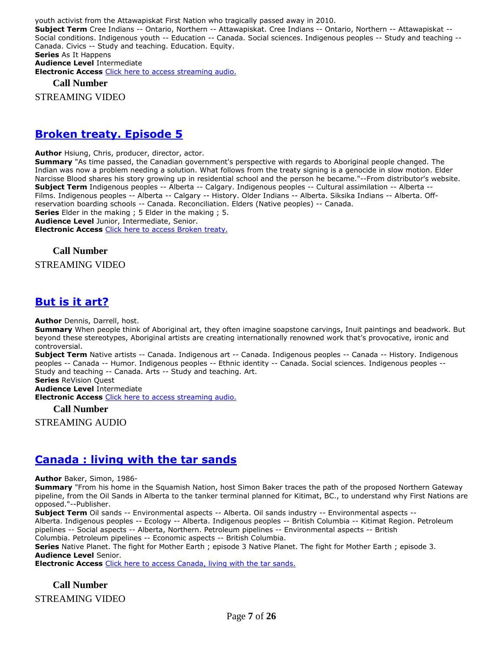youth activist from the Attawapiskat First Nation who tragically passed away in 2010. **Subject Term** Cree Indians -- Ontario, Northern -- Attawapiskat. Cree Indians -- Ontario, Northern -- Attawapiskat -- Social conditions. Indigenous youth -- Education -- Canada. Social sciences. Indigenous peoples -- Study and teaching -- Canada. Civics -- Study and teaching. Education. Equity. **Series** As It Happens **Audience Level** Intermediate **Electronic Access** [Click here to access streaming audio.](http://curio.ca/en/audio/attawapiskats-new-school-4263/)

**Call Number**

STREAMING VIDEO

#### **[Broken treaty. Episode 5](https://ug.ent.sirsidynix.net/client/en_CA/TJR/search/detailnonmodal/ent:$002f$002fSD_ILS$002f0$002fSD_ILS:321568/email?)**

**Author** Hsiung, Chris, producer, director, actor.

**Summary** "As time passed, the Canadian government's perspective with regards to Aboriginal people changed. The Indian was now a problem needing a solution. What follows from the treaty signing is a genocide in slow motion. Elder Narcisse Blood shares his story growing up in residential school and the person he became."--From distributor's website. **Subject Term** Indigenous peoples -- Alberta -- Calgary. Indigenous peoples -- Cultural assimilation -- Alberta -- Films. Indigenous peoples -- Alberta -- Calgary -- History. Older Indians -- Alberta. Siksika Indians -- Alberta. Offreservation boarding schools -- Canada. Reconciliation. Elders (Native peoples) -- Canada. **Series** Elder in the making ; 5 Elder in the making ; 5. **Audience Level** Junior, Intermediate, Senior. **Electronic Access** [Click here to access Broken treaty.](https://learn360.infobase.com/p_ViewVideo.aspx?customID=52235)

# **Call Number**

STREAMING VIDEO

#### **[But is it art?](https://ug.ent.sirsidynix.net/client/en_CA/TJR/search/detailnonmodal/ent:$002f$002fSD_ILS$002f0$002fSD_ILS:311228/email?)**

**Author** Dennis, Darrell, host.

**Summary** When people think of Aboriginal art, they often imagine soapstone carvings, Inuit paintings and beadwork. But beyond these stereotypes, Aboriginal artists are creating internationally renowned work that's provocative, ironic and controversial.

**Subject Term** Native artists -- Canada. Indigenous art -- Canada. Indigenous peoples -- Canada -- History. Indigenous peoples -- Canada -- Humor. Indigenous peoples -- Ethnic identity -- Canada. Social sciences. Indigenous peoples -- Study and teaching -- Canada. Arts -- Study and teaching. Art.

**Series** ReVision Quest

**Audience Level** Intermediate **Electronic Access** [Click here to access streaming audio.](http://curio.ca/en/audio/but-is-it-art-3192/)

**Call Number**

STREAMING AUDIO

#### **[Canada : living with the tar sands](https://ug.ent.sirsidynix.net/client/en_CA/TJR/search/detailnonmodal/ent:$002f$002fSD_ILS$002f0$002fSD_ILS:286209/email?)**

**Author** Baker, Simon, 1986-

**Summary** "From his home in the Squamish Nation, host Simon Baker traces the path of the proposed Northern Gateway pipeline, from the Oil Sands in Alberta to the tanker terminal planned for Kitimat, BC., to understand why First Nations are opposed."--Publisher.

**Subject Term** Oil sands -- Environmental aspects -- Alberta. Oil sands industry -- Environmental aspects --

Alberta. Indigenous peoples -- Ecology -- Alberta. Indigenous peoples -- British Columbia -- Kitimat Region. Petroleum pipelines -- Social aspects -- Alberta, Northern. Petroleum pipelines -- Environmental aspects -- British

Columbia. Petroleum pipelines -- Economic aspects -- British Columbia.

**Series** Native Planet. The fight for Mother Earth ; episode 3 Native Planet. The fight for Mother Earth ; episode 3. **Audience Level** Senior.

**Electronic Access** [Click here to access Canada, living with the tar sands.](http://www.learn360.com/ShowVideo.aspx?ID=1225797)

**Call Number** STREAMING VIDEO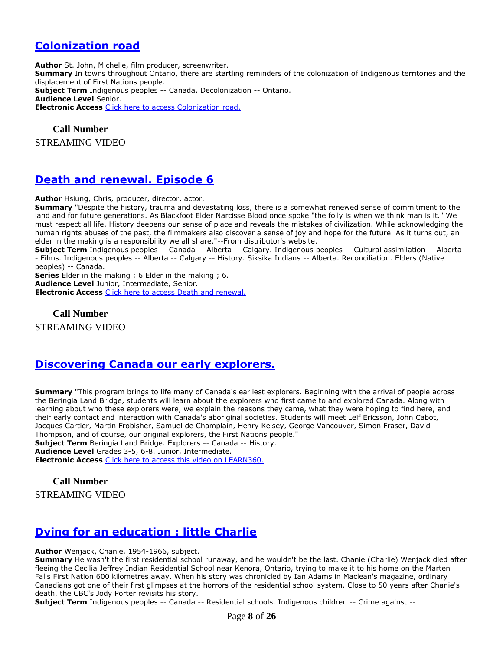## **[Colonization road](https://ug.ent.sirsidynix.net/client/en_CA/TJR/search/detailnonmodal/ent:$002f$002fSD_ILS$002f0$002fSD_ILS:322300/email?)**

**Author** St. John, Michelle, film producer, screenwriter. **Summary** In towns throughout Ontario, there are startling reminders of the colonization of Indigenous territories and the displacement of First Nations people. **Subject Term** Indigenous peoples -- Canada. Decolonization -- Ontario. **Audience Level** Senior. **Electronic Access** [Click here to access Colonization road.](https://learn360.infobase.com/p_ViewVideo.aspx?customID=52126)

**Call Number** STREAMING VIDEO

### **[Death and renewal. Episode 6](https://ug.ent.sirsidynix.net/client/en_CA/TJR/search/detailnonmodal/ent:$002f$002fSD_ILS$002f0$002fSD_ILS:321569/email?)**

**Author** Hsiung, Chris, producer, director, actor.

**Summary** "Despite the history, trauma and devastating loss, there is a somewhat renewed sense of commitment to the land and for future generations. As Blackfoot Elder Narcisse Blood once spoke "the folly is when we think man is it." We must respect all life. History deepens our sense of place and reveals the mistakes of civilization. While acknowledging the human rights abuses of the past, the filmmakers also discover a sense of joy and hope for the future. As it turns out, an elder in the making is a responsibility we all share."--From distributor's website.

**Subject Term** Indigenous peoples -- Canada -- Alberta -- Calgary. Indigenous peoples -- Cultural assimilation -- Alberta - - Films. Indigenous peoples -- Alberta -- Calgary -- History. Siksika Indians -- Alberta. Reconciliation. Elders (Native peoples) -- Canada.

**Series** Elder in the making ; 6 Elder in the making ; 6.

**Audience Level** Junior, Intermediate, Senior.

**Electronic Access** [Click here to access Death and renewal.](https://learn360.infobase.com/p_ViewVideo.aspx?customID=52236)

**Call Number** STREAMING VIDEO

#### **[Discovering Canada our early explorers.](https://ug.ent.sirsidynix.net/client/en_CA/TJR/search/detailnonmodal/ent:$002f$002fSD_ILS$002f0$002fSD_ILS:244717/email?)**

**Summary** "This program brings to life many of Canada's earliest explorers. Beginning with the arrival of people across the Beringia Land Bridge, students will learn about the explorers who first came to and explored Canada. Along with learning about who these explorers were, we explain the reasons they came, what they were hoping to find here, and their early contact and interaction with Canada's aboriginal societies. Students will meet Leif Ericsson, John Cabot, Jacques Cartier, Martin Frobisher, Samuel de Champlain, Henry Kelsey, George Vancouver, Simon Fraser, David Thompson, and of course, our original explorers, the First Nations people." **Subject Term** Beringia Land Bridge. Explorers -- Canada -- History. **Audience Level** Grades 3-5, 6-8. Junior, Intermediate. **Electronic Access** [Click here to access this video on LEARN360.](http://www.learn360.com/ShowVideo.aspx?ID=594624)

#### **Call Number** STREAMING VIDEO

#### **[Dying for an education : little Charlie](https://ug.ent.sirsidynix.net/client/en_CA/TJR/search/detailnonmodal/ent:$002f$002fSD_ILS$002f0$002fSD_ILS:310381/email?)**

**Author** Wenjack, Chanie, 1954-1966, subject.

**Summary** He wasn't the first residential school runaway, and he wouldn't be the last. Chanie (Charlie) Wenjack died after fleeing the Cecilia Jeffrey Indian Residential School near Kenora, Ontario, trying to make it to his home on the Marten Falls First Nation 600 kilometres away. When his story was chronicled by Ian Adams in Maclean's magazine, ordinary Canadians got one of their first glimpses at the horrors of the residential school system. Close to 50 years after Chanie's death, the CBC's Jody Porter revisits his story.

**Subject Term** Indigenous peoples -- Canada -- Residential schools. Indigenous children -- Crime against --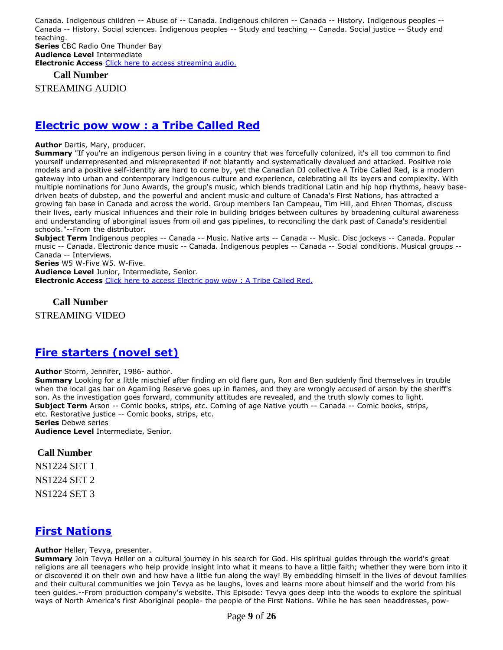Canada. Indigenous children -- Abuse of -- Canada. Indigenous children -- Canada -- History. Indigenous peoples -- Canada -- History. Social sciences. Indigenous peoples -- Study and teaching -- Canada. Social justice -- Study and teaching. **Series** CBC Radio One Thunder Bay

**Audience Level** Intermediate **Electronic Access** [Click here to access streaming audio.](http://curio.ca/en/audio/dying-for-an-education-little-charlie-12115/)

**Call Number**

STREAMING AUDIO

### **[Electric pow wow : a Tribe Called Red](https://ug.ent.sirsidynix.net/client/en_CA/TJR/search/detailnonmodal/ent:$002f$002fSD_ILS$002f0$002fSD_ILS:322089/email?)**

**Author** Dartis, Mary, producer.

**Summary** "If you're an indigenous person living in a country that was forcefully colonized, it's all too common to find yourself underrepresented and misrepresented if not blatantly and systematically devalued and attacked. Positive role models and a positive self-identity are hard to come by, yet the Canadian DJ collective A Tribe Called Red, is a modern gateway into urban and contemporary indigenous culture and experience, celebrating all its layers and complexity. With multiple nominations for Juno Awards, the group's music, which blends traditional Latin and hip hop rhythms, heavy basedriven beats of dubstep, and the powerful and ancient music and culture of Canada's First Nations, has attracted a growing fan base in Canada and across the world. Group members Ian Campeau, Tim Hill, and Ehren Thomas, discuss their lives, early musical influences and their role in building bridges between cultures by broadening cultural awareness and understanding of aboriginal issues from oil and gas pipelines, to reconciling the dark past of Canada's residential schools."--From the distributor.

**Subject Term** Indigenous peoples -- Canada -- Music. Native arts -- Canada -- Music. Disc jockeys -- Canada. Popular music -- Canada. Electronic dance music -- Canada. Indigenous peoples -- Canada -- Social conditions. Musical groups -- Canada -- Interviews.

**Series** W5 W-Five W5. W-Five.

**Audience Level** Junior, Intermediate, Senior. **Electronic Access** [Click here to access Electric pow wow : A Tribe Called Red.](https://learn360.infobase.com/p_ViewVideo.aspx?customID=52239)

#### **Call Number**

STREAMING VIDEO

## **[Fire starters \(novel set\)](https://ug.ent.sirsidynix.net/client/en_CA/TJR/search/detailnonmodal/ent:$002f$002fSD_ILS$002f0$002fSD_ILS:314637/email?)**

#### **Author** Storm, Jennifer, 1986- author.

**Summary** Looking for a little mischief after finding an old flare gun, Ron and Ben suddenly find themselves in trouble when the local gas bar on Agamiing Reserve goes up in flames, and they are wrongly accused of arson by the sheriff's son. As the investigation goes forward, community attitudes are revealed, and the truth slowly comes to light. **Subject Term** Arson -- Comic books, strips, etc. Coming of age Native youth -- Canada -- Comic books, strips, etc. Restorative justice -- Comic books, strips, etc.

**Series** Debwe series

**Audience Level** Intermediate, Senior.

#### **Call Number**

NS1224 SET 1 NS1224 SET 2

NS1224 SET 3

## **[First Nations](https://ug.ent.sirsidynix.net/client/en_CA/TJR/search/detailnonmodal/ent:$002f$002fSD_ILS$002f0$002fSD_ILS:285973/email?)**

**Author** Heller, Tevya, presenter.

**Summary** Join Tevya Heller on a cultural journey in his search for God. His spiritual guides through the world's great religions are all teenagers who help provide insight into what it means to have a little faith; whether they were born into it or discovered it on their own and how have a little fun along the way! By embedding himself in the lives of devout families and their cultural communities we join Tevya as he laughs, loves and learns more about himself and the world from his teen guides.--From production company's website. This Episode: Tevya goes deep into the woods to explore the spiritual ways of North America's first Aboriginal people- the people of the First Nations. While he has seen headdresses, pow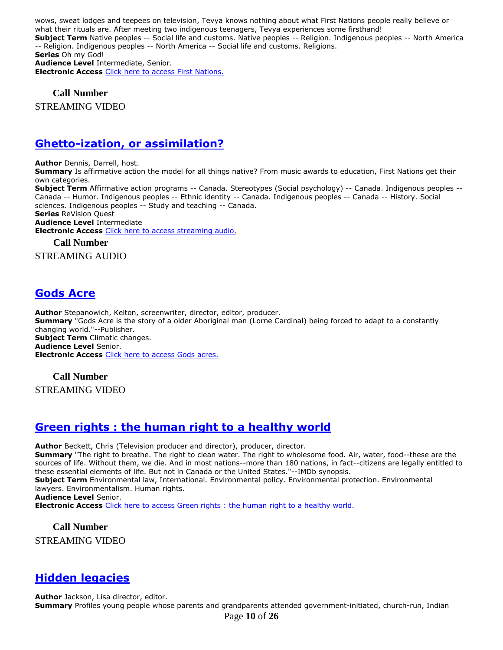wows, sweat lodges and teepees on television, Tevya knows nothing about what First Nations people really believe or what their rituals are. After meeting two indigenous teenagers, Tevya experiences some firsthand! **Subject Term** Native peoples -- Social life and customs. Native peoples -- Religion. Indigenous peoples -- North America -- Religion. Indigenous peoples -- North America -- Social life and customs. Religions. **Series** Oh my God! **Audience Level** Intermediate, Senior. **Electronic Access** [Click here to access First Nations.](http://www.learn360.com/ShowVideo.aspx?ID=1225894)

**Call Number**

STREAMING VIDEO

### **Ghetto-ization, [or assimilation?](https://ug.ent.sirsidynix.net/client/en_CA/TJR/search/detailnonmodal/ent:$002f$002fSD_ILS$002f0$002fSD_ILS:311226/email?)**

**Author** Dennis, Darrell, host.

**Summary** Is affirmative action the model for all things native? From music awards to education, First Nations get their own categories.

**Subject Term** Affirmative action programs -- Canada. Stereotypes (Social psychology) -- Canada. Indigenous peoples -- Canada -- Humor. Indigenous peoples -- Ethnic identity -- Canada. Indigenous peoples -- Canada -- History. Social sciences. Indigenous peoples -- Study and teaching -- Canada.

**Series** ReVision Quest

**Audience Level** Intermediate

**Electronic Access** [Click here to access streaming audio.](http://curio.ca/en/audio/ghetto-ization-or-assimilation-3196/)

#### **Call Number**

STREAMING AUDIO

## **[Gods Acre](https://ug.ent.sirsidynix.net/client/en_CA/TJR/search/detailnonmodal/ent:$002f$002fSD_ILS$002f0$002fSD_ILS:321552/email?)**

**Author** Stepanowich, Kelton, screenwriter, director, editor, producer. **Summary** "Gods Acre is the story of a older Aboriginal man (Lorne Cardinal) being forced to adapt to a constantly changing world."--Publisher. **Subject Term** Climatic changes. **Audience Level** Senior. **Electronic Access** [Click here to access Gods acres.](https://learn360.infobase.com/p_ViewVideo.aspx?customID=52241)

#### **Call Number**

STREAMING VIDEO

#### **[Green rights : the human right to a healthy world](https://ug.ent.sirsidynix.net/client/en_CA/TJR/search/detailnonmodal/ent:$002f$002fSD_ILS$002f0$002fSD_ILS:321560/email?)**

**Author** Beckett, Chris (Television producer and director), producer, director. **Summary** "The right to breathe. The right to clean water. The right to wholesome food. Air, water, food--these are the sources of life. Without them, we die. And in most nations--more than 180 nations, in fact--citizens are legally entitled to these essential elements of life. But not in Canada or the United States."--IMDb synopsis. **Subject Term** Environmental law, International. Environmental policy. Environmental protection. Environmental lawyers. Environmentalism. Human rights. **Audience Level** Senior. **Electronic Access** [Click here to access Green rights : the human right to a healthy world.](https://learn360.infobase.com/p_ViewVideo.aspx?customID=52242)

**Call Number** STREAMING VIDEO

#### **[Hidden legacies](https://ug.ent.sirsidynix.net/client/en_CA/TJR/search/detailnonmodal/ent:$002f$002fSD_ILS$002f0$002fSD_ILS:285757/email?)**

**Author** Jackson, Lisa director, editor. **Summary** Profiles young people whose parents and grandparents attended government-initiated, church-run, Indian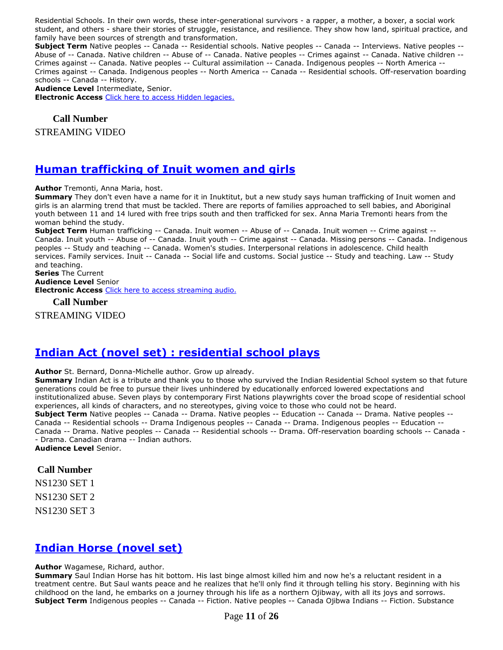Residential Schools. In their own words, these inter-generational survivors - a rapper, a mother, a boxer, a social work student, and others - share their stories of struggle, resistance, and resilience. They show how land, spiritual practice, and family have been sources of strength and transformation.

**Subject Term** Native peoples -- Canada -- Residential schools. Native peoples -- Canada -- Interviews. Native peoples -- Abuse of -- Canada. Native children -- Abuse of -- Canada. Native peoples -- Crimes against -- Canada. Native children -- Crimes against -- Canada. Native peoples -- Cultural assimilation -- Canada. Indigenous peoples -- North America -- Crimes against -- Canada. Indigenous peoples -- North America -- Canada -- Residential schools. Off-reservation boarding schools -- Canada -- History.

**Audience Level** Intermediate, Senior.

**Electronic Access** [Click here to access Hidden legacies.](http://www.learn360.com/ShowVideo.aspx?ID=1225884)

#### **Call Number**

STREAMING VIDEO

#### **[Human trafficking of Inuit women and girls](https://ug.ent.sirsidynix.net/client/en_CA/TJR/search/detailnonmodal/ent:$002f$002fSD_ILS$002f0$002fSD_ILS:309415/email?)**

**Author** Tremonti, Anna Maria, host.

**Summary** They don't even have a name for it in Inuktitut, but a new study says human trafficking of Inuit women and girls is an alarming trend that must be tackled. There are reports of families approached to sell babies, and Aboriginal youth between 11 and 14 lured with free trips south and then trafficked for sex. Anna Maria Tremonti hears from the woman behind the study.

**Subject Term** Human trafficking -- Canada. Inuit women -- Abuse of -- Canada. Inuit women -- Crime against -- Canada. Inuit youth -- Abuse of -- Canada. Inuit youth -- Crime against -- Canada. Missing persons -- Canada. Indigenous peoples -- Study and teaching -- Canada. Women's studies. Interpersonal relations in adolescence. Child health services. Family services. Inuit -- Canada -- Social life and customs. Social justice -- Study and teaching. Law -- Study and teaching.

#### **Series** The Current **Audience Level** Senior **Electronic Access** [Click here to access streaming audio.](http://curio.ca/en/audio/human-trafficking-of-inuit-women-and-girls-3486/)

**Call Number**

STREAMING VIDEO

#### **[Indian Act \(novel set\) : residential school plays](https://ug.ent.sirsidynix.net/client/en_CA/TJR/search/detailnonmodal/ent:$002f$002fSD_ILS$002f0$002fSD_ILS:318295/email?)**

**Author** St. Bernard, Donna-Michelle author. Grow up already.

**Summary** Indian Act is a tribute and thank you to those who survived the Indian Residential School system so that future generations could be free to pursue their lives unhindered by educationally enforced lowered expectations and institutionalized abuse. Seven plays by contemporary First Nations playwrights cover the broad scope of residential school experiences, all kinds of characters, and no stereotypes, giving voice to those who could not be heard. **Subject Term** Native peoples -- Canada -- Drama. Native peoples -- Education -- Canada -- Drama. Native peoples -- Canada -- Residential schools -- Drama Indigenous peoples -- Canada -- Drama. Indigenous peoples -- Education -- Canada -- Drama. Native peoples -- Canada -- Residential schools -- Drama. Off-reservation boarding schools -- Canada - - Drama. Canadian drama -- Indian authors. **Audience Level** Senior.

#### **Call Number**

NS1230 SET 1

NS1230 SET 2

NS1230 SET 3

#### **[Indian Horse \(novel set\)](https://ug.ent.sirsidynix.net/client/en_CA/TJR/search/detailnonmodal/ent:$002f$002fSD_ILS$002f0$002fSD_ILS:285953/email?)**

#### **Author** Wagamese, Richard, author.

**Summary** Saul Indian Horse has hit bottom. His last binge almost killed him and now he's a reluctant resident in a treatment centre. But Saul wants peace and he realizes that he'll only find it through telling his story. Beginning with his childhood on the land, he embarks on a journey through his life as a northern Ojibway, with all its joys and sorrows. **Subject Term** Indigenous peoples -- Canada -- Fiction. Native peoples -- Canada Ojibwa Indians -- Fiction. Substance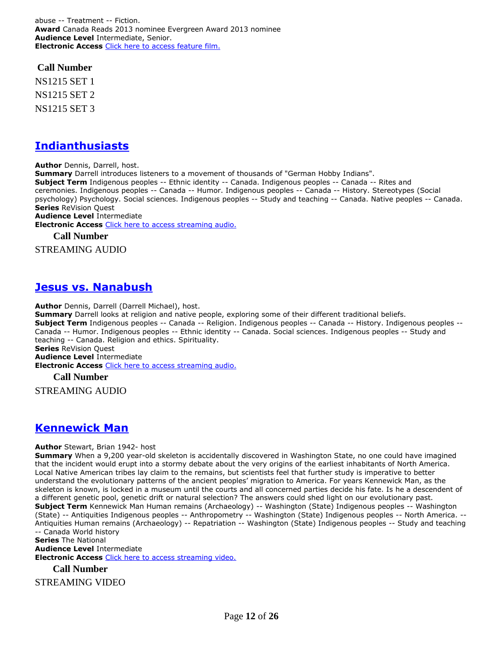abuse -- Treatment -- Fiction. **Award** Canada Reads 2013 nominee Evergreen Award 2013 nominee **Audience Level** Intermediate, Senior. **Electronic Access** [Click here to access feature film.](https://learn360.infobase.com/p_ViewVideo.aspx?customID=4310&ff=1)

**Call Number**

NS1215 SET 1 NS1215 SET 2 NS1215 SET 3

### **[Indianthusiasts](https://ug.ent.sirsidynix.net/client/en_CA/TJR/search/detailnonmodal/ent:$002f$002fSD_ILS$002f0$002fSD_ILS:311457/email?)**

**Author** Dennis, Darrell, host.

**Summary** Darrell introduces listeners to a movement of thousands of "German Hobby Indians". **Subject Term** Indigenous peoples -- Ethnic identity -- Canada. Indigenous peoples -- Canada -- Rites and ceremonies. Indigenous peoples -- Canada -- Humor. Indigenous peoples -- Canada -- History. Stereotypes (Social psychology) Psychology. Social sciences. Indigenous peoples -- Study and teaching -- Canada. Native peoples -- Canada. **Series** ReVision Quest **Audience Level** Intermediate

**Electronic Access** [Click here to access streaming audio.](http://curio.ca/en/audio/indianthusiasts-3189/)

**Call Number**

STREAMING AUDIO

## **[Jesus vs. Nanabush](https://ug.ent.sirsidynix.net/client/en_CA/TJR/search/detailnonmodal/ent:$002f$002fSD_ILS$002f0$002fSD_ILS:311229/email?)**

**Author** Dennis, Darrell (Darrell Michael), host.

**Summary** Darrell looks at religion and native people, exploring some of their different traditional beliefs. **Subject Term** Indigenous peoples -- Canada -- Religion. Indigenous peoples -- Canada -- History. Indigenous peoples -- Canada -- Humor. Indigenous peoples -- Ethnic identity -- Canada. Social sciences. Indigenous peoples -- Study and teaching -- Canada. Religion and ethics. Spirituality. **Series** ReVision Quest **Audience Level** Intermediate **Electronic Access** [Click here to access streaming audio.](http://curio.ca/en/audio/jesus-vs-nanabush-3195/)

**Call Number**

STREAMING AUDIO

## **[Kennewick Man](https://ug.ent.sirsidynix.net/client/en_CA/TJR/search/detailnonmodal/ent:$002f$002fSD_ILS$002f0$002fSD_ILS:312392/email?)**

#### **Author** Stewart, Brian 1942- host

**Summary** When a 9,200 year-old skeleton is accidentally discovered in Washington State, no one could have imagined that the incident would erupt into a stormy debate about the very origins of the earliest inhabitants of North America. Local Native American tribes lay claim to the remains, but scientists feel that further study is imperative to better understand the evolutionary patterns of the ancient peoples' migration to America. For years Kennewick Man, as the skeleton is known, is locked in a museum until the courts and all concerned parties decide his fate. Is he a descendent of a different genetic pool, genetic drift or natural selection? The answers could shed light on our evolutionary past. **Subject Term** Kennewick Man Human remains (Archaeology) -- Washington (State) Indigenous peoples -- Washington (State) -- Antiquities Indigenous peoples -- Anthropometry -- Washington (State) Indigenous peoples -- North America. -- Antiquities Human remains (Archaeology) -- Repatriation -- Washington (State) Indigenous peoples -- Study and teaching -- Canada World history

**Series** The National **Audience Level** Intermediate **Electronic Access Click here [to access streaming video.](http://curio.ca/en/video/kennewick-man-15044/)** 

**Call Number**

STREAMING VIDEO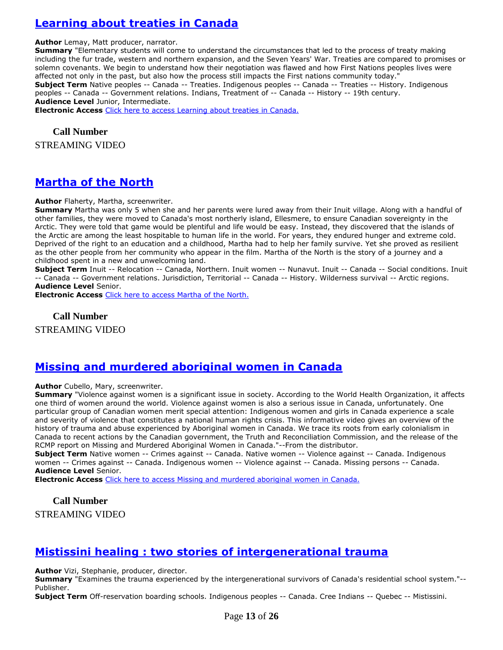# **[Learning about treaties in Canada](https://ug.ent.sirsidynix.net/client/en_CA/TJR/search/detailnonmodal/ent:$002f$002fSD_ILS$002f0$002fSD_ILS:305567/email?)**

**Author** Lemay, Matt producer, narrator.

**Summary** "Elementary students will come to understand the circumstances that led to the process of treaty making including the fur trade, western and northern expansion, and the Seven Years' War. Treaties are compared to promises or solemn covenants. We begin to understand how their negotiation was flawed and how First Nations peoples lives were affected not only in the past, but also how the process still impacts the First nations community today." **Subject Term** Native peoples -- Canada -- Treaties. Indigenous peoples -- Canada -- Treaties -- History. Indigenous peoples -- Canada -- Government relations. Indians, Treatment of -- Canada -- History -- 19th century. **Audience Level** Junior, Intermediate.

**Electronic Access** [Click here to access Learning about treaties in Canada.](https://learn360.infobase.com/p_ViewVideo.aspx?customID=51536)

**Call Number** STREAMING VIDEO

## **[Martha of the North](https://ug.ent.sirsidynix.net/client/en_CA/TJR/search/detailnonmodal/ent:$002f$002fSD_ILS$002f0$002fSD_ILS:297353/email?)**

**Author** Flaherty, Martha, screenwriter.

**Summary** Martha was only 5 when she and her parents were lured away from their Inuit village. Along with a handful of other families, they were moved to Canada's most northerly island, Ellesmere, to ensure Canadian sovereignty in the Arctic. They were told that game would be plentiful and life would be easy. Instead, they discovered that the islands of the Arctic are among the least hospitable to human life in the world. For years, they endured hunger and extreme cold. Deprived of the right to an education and a childhood, Martha had to help her family survive. Yet she proved as resilient as the other people from her community who appear in the film. Martha of the North is the story of a journey and a childhood spent in a new and unwelcoming land.

**Subject Term** Inuit -- Relocation -- Canada, Northern. Inuit women -- Nunavut. Inuit -- Canada -- Social conditions. Inuit -- Canada -- Government relations. Jurisdiction, Territorial -- Canada -- History. Wilderness survival -- Arctic regions. **Audience Level** Senior.

**Electronic Access** [Click here to access Martha of the North.](http://learn360.infobase.com/p_ViewVideo.aspx?customID=50070)

**Call Number** STREAMING VIDEO

## **[Missing and murdered aboriginal women in Canada](https://ug.ent.sirsidynix.net/client/en_CA/TJR/search/detailnonmodal/ent:$002f$002fSD_ILS$002f0$002fSD_ILS:305568/email?)**

**Author** Cubello, Mary, screenwriter.

**Summary** "Violence against women is a significant issue in society. According to the World Health Organization, it affects one third of women around the world. Violence against women is also a serious issue in Canada, unfortunately. One particular group of Canadian women merit special attention: Indigenous women and girls in Canada experience a scale and severity of violence that constitutes a national human rights crisis. This informative video gives an overview of the history of trauma and abuse experienced by Aboriginal women in Canada. We trace its roots from early colonialism in Canada to recent actions by the Canadian government, the Truth and Reconciliation Commission, and the release of the RCMP report on Missing and Murdered Aboriginal Women in Canada."--From the distributor.

**Subject Term** Native women -- Crimes against -- Canada. Native women -- Violence against -- Canada. Indigenous women -- Crimes against -- Canada. Indigenous women -- Violence against -- Canada. Missing persons -- Canada. **Audience Level** Senior.

**Electronic Access** [Click here to access Missing and murdered aboriginal women in Canada.](https://learn360.infobase.com/p_ViewVideo.aspx?customID=51538)

**Call Number**

STREAMING VIDEO

## **[Mistissini healing : two stories of intergenerational trauma](https://ug.ent.sirsidynix.net/client/en_CA/TJR/search/detailnonmodal/ent:$002f$002fSD_ILS$002f0$002fSD_ILS:321561/email?)**

**Author** Vizi, Stephanie, producer, director.

**Summary** "Examines the trauma experienced by the intergenerational survivors of Canada's residential school system."-- Publisher.

**Subject Term** Off-reservation boarding schools. Indigenous peoples -- Canada. Cree Indians -- Quebec -- Mistissini.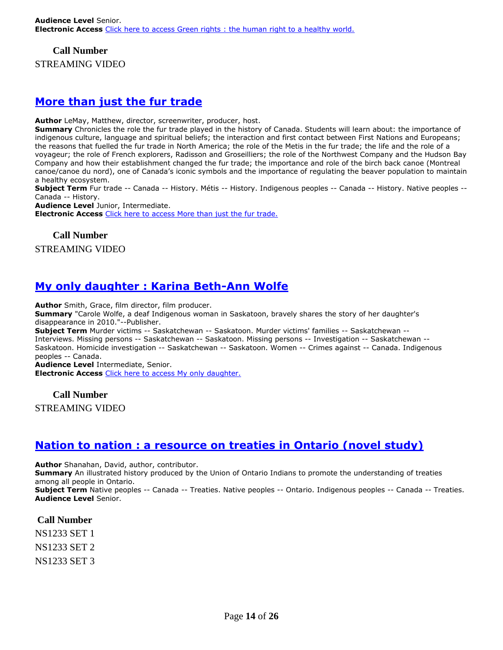#### **Call Number**

STREAMING VIDEO

### **More [than just the fur trade](https://ug.ent.sirsidynix.net/client/en_CA/TJR/search/detailnonmodal/ent:$002f$002fSD_ILS$002f0$002fSD_ILS:322087/email?)**

**Author** LeMay, Matthew, director, screenwriter, producer, host.

**Summary** Chronicles the role the fur trade played in the history of Canada. Students will learn about: the importance of indigenous culture, language and spiritual beliefs; the interaction and first contact between First Nations and Europeans; the reasons that fuelled the fur trade in North America; the role of the Metis in the fur trade; the life and the role of a voyageur; the role of French explorers, Radisson and Groseilliers; the role of the Northwest Company and the Hudson Bay Company and how their establishment changed the fur trade; the importance and role of the birch back canoe (Montreal canoe/canoe du nord), one of Canada's iconic symbols and the importance of regulating the beaver population to maintain a healthy ecosystem.

**Subject Term** Fur trade -- Canada -- History. Métis -- History. Indigenous peoples -- Canada -- History. Native peoples -- Canada -- History.

**Audience Level** Junior, Intermediate.

**Electronic Access** [Click here to access More than just the fur trade.](https://learn360.infobase.com/p_ViewVideo.aspx?customID=52265)

**Call Number**

STREAMING VIDEO

# **[My only daughter : Karina Beth-Ann Wolfe](https://ug.ent.sirsidynix.net/client/en_CA/TJR/search/detailnonmodal/ent:$002f$002fSD_ILS$002f0$002fSD_ILS:322102/email?)**

**Author** Smith, Grace, film director, film producer.

**Summary** "Carole Wolfe, a deaf Indigenous woman in Saskatoon, bravely shares the story of her daughter's disappearance in 2010."--Publisher.

**Subject Term** Murder victims -- Saskatchewan -- Saskatoon. Murder victims' families -- Saskatchewan -- Interviews. Missing persons -- Saskatchewan -- Saskatoon. Missing persons -- Investigation -- Saskatchewan -- Saskatoon. Homicide investigation -- Saskatchewan -- Saskatoon. Women -- Crimes against -- Canada. Indigenous peoples -- Canada.

**Audience Level** Intermediate, Senior. **Electronic Access** [Click here to access My only daughter.](https://learn360.infobase.com/p_ViewVideo.aspx?customID=52358)

**Call Number**

STREAMING VIDEO

## **[Nation to nation : a resource on treaties in Ontario \(novel study\)](https://ug.ent.sirsidynix.net/client/en_CA/TJR/search/detailnonmodal/ent:$002f$002fSD_ILS$002f0$002fSD_ILS:322266/email?)**

**Author** Shanahan, David, author, contributor.

**Summary** An illustrated history produced by the Union of Ontario Indians to promote the understanding of treaties among all people in Ontario.

**Subject Term** Native peoples -- Canada -- Treaties. Native peoples -- Ontario. Indigenous peoples -- Canada -- Treaties. **Audience Level** Senior.

**Call Number**

NS1233 SET 1

NS1233 SET 2

NS1233 SET 3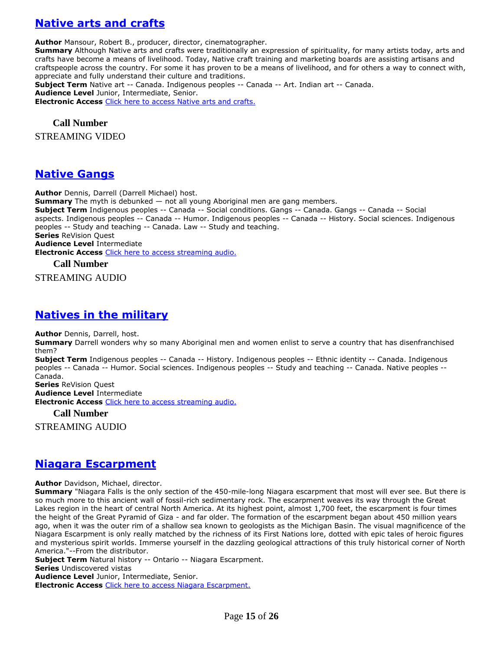# **[Native arts and crafts](https://ug.ent.sirsidynix.net/client/en_CA/TJR/search/detailnonmodal/ent:$002f$002fSD_ILS$002f0$002fSD_ILS:285956/email?)**

**Author** Mansour, Robert B., producer, director, cinematographer.

**Summary** Although Native arts and crafts were traditionally an expression of spirituality, for many artists today, arts and crafts have become a means of livelihood. Today, Native craft training and marketing boards are assisting artisans and craftspeople across the country. For some it has proven to be a means of livelihood, and for others a way to connect with, appreciate and fully understand their culture and traditions.

**Subject Term** Native art -- Canada. Indigenous peoples -- Canada -- Art. Indian art -- Canada. **Audience Level** Junior, Intermediate, Senior. **Electronic Access** [Click here to access Native arts and crafts.](http://www.learn360.com/ShowVideo.aspx?ID=1225791)

#### **Call Number**

STREAMING VIDEO

#### **[Native Gangs](https://ug.ent.sirsidynix.net/client/en_CA/TJR/search/detailnonmodal/ent:$002f$002fSD_ILS$002f0$002fSD_ILS:311459/email?)**

**Author** Dennis, Darrell (Darrell Michael) host.

**Summary** The myth is debunked — not all young Aboriginal men are gang members. **Subject Term** Indigenous peoples -- Canada -- Social conditions. Gangs -- Canada. Gangs -- Canada -- Social aspects. Indigenous peoples -- Canada -- Humor. Indigenous peoples -- Canada -- History. Social sciences. Indigenous peoples -- Study and teaching -- Canada. Law -- Study and teaching. **Series** ReVision Quest **Audience Level** Intermediate **Electronic Access** [Click here to access streaming audio.](http://curio.ca/en/audio/native-gangs-3197/)

#### **Call Number**

STREAMING AUDIO

#### **[Natives in the military](https://ug.ent.sirsidynix.net/client/en_CA/TJR/search/detailnonmodal/ent:$002f$002fSD_ILS$002f0$002fSD_ILS:311458/email?)**

**Author** Dennis, Darrell, host.

**Summary** Darrell wonders why so many Aboriginal men and women enlist to serve a country that has disenfranchised them?

**Subject Term** Indigenous peoples -- Canada -- History. Indigenous peoples -- Ethnic identity -- Canada. Indigenous peoples -- Canada -- Humor. Social sciences. Indigenous peoples -- Study and teaching -- Canada. Native peoples -- Canada.

**Series** ReVision Quest

**Audience Level** Intermediate **Electronic Access** [Click here to access streaming audio.](http://curio.ca/en/audio/natives-in-the-military-3193/)

**Call Number**

STREAMING AUDIO

#### **[Niagara Escarpment](https://ug.ent.sirsidynix.net/client/en_CA/TJR/search/detailnonmodal/ent:$002f$002fSD_ILS$002f0$002fSD_ILS:314500/email?)**

**Author** Davidson, Michael, director.

**Summary** "Niagara Falls is the only section of the 450-mile-long Niagara escarpment that most will ever see. But there is so much more to this ancient wall of fossil-rich sedimentary rock. The escarpment weaves its way through the Great Lakes region in the heart of central North America. At its highest point, almost 1,700 feet, the escarpment is four times the height of the Great Pyramid of Giza - and far older. The formation of the escarpment began about 450 million years ago, when it was the outer rim of a shallow sea known to geologists as the Michigan Basin. The visual magnificence of the Niagara Escarpment is only really matched by the richness of its First Nations lore, dotted with epic tales of heroic figures and mysterious spirit worlds. Immerse yourself in the dazzling geological attractions of this truly historical corner of North America."--From the distributor.

**Subject Term** Natural history -- Ontario -- Niagara Escarpment.

**Series** Undiscovered vistas

**Audience Level** Junior, Intermediate, Senior.

**Electronic Access** [Click here to access Niagara Escarpment.](https://learn360.infobase.com/p_ViewVideo.aspx?customID=51539)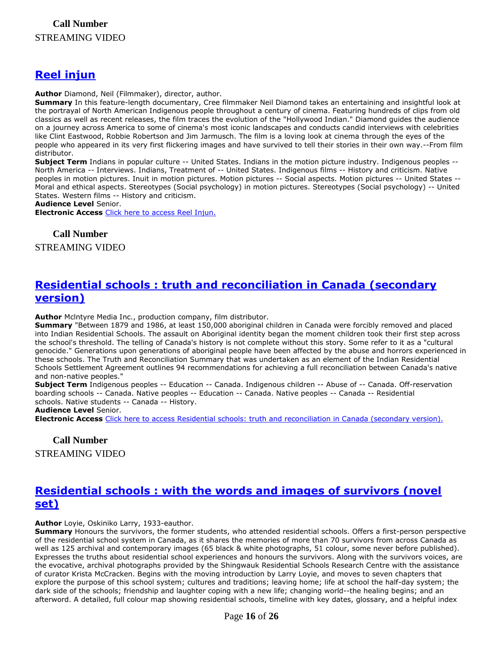## **[Reel injun](https://ug.ent.sirsidynix.net/client/en_CA/TJR/search/detailnonmodal/ent:$002f$002fSD_ILS$002f0$002fSD_ILS:297373/email?)**

**Author** Diamond, Neil (Filmmaker), director, author.

**Summary** In this feature-length documentary, Cree filmmaker Neil Diamond takes an entertaining and insightful look at the portrayal of North American Indigenous people throughout a century of cinema. Featuring hundreds of clips from old classics as well as recent releases, the film traces the evolution of the "Hollywood Indian." Diamond guides the audience on a journey across America to some of cinema's most iconic landscapes and conducts candid interviews with celebrities like Clint Eastwood, Robbie Robertson and Jim Jarmusch. The film is a loving look at cinema through the eyes of the people who appeared in its very first flickering images and have survived to tell their stories in their own way.--From film distributor.

**Subject Term** Indians in popular culture -- United States. Indians in the motion picture industry. Indigenous peoples -- North America -- Interviews. Indians, Treatment of -- United States. Indigenous films -- History and criticism. Native peoples in motion pictures. Inuit in motion pictures. Motion pictures -- Social aspects. Motion pictures -- United States -- Moral and ethical aspects. Stereotypes (Social psychology) in motion pictures. Stereotypes (Social psychology) -- United States. Western films -- History and criticism.

**Audience Level** Senior.

**Electronic Access** [Click here to access Reel Injun.](http://learn360.infobase.com/p_ViewVideo.aspx?customID=50071)

**Call Number** STREAMING VIDEO

## **[Residential schools : truth and reconciliation in Canada \(secondary](https://ug.ent.sirsidynix.net/client/en_CA/TJR/search/detailnonmodal/ent:$002f$002fSD_ILS$002f0$002fSD_ILS:297635/email?)  [version\)](https://ug.ent.sirsidynix.net/client/en_CA/TJR/search/detailnonmodal/ent:$002f$002fSD_ILS$002f0$002fSD_ILS:297635/email?)**

**Author** Mclntyre Media Inc., production company, film distributor.

**Summary** "Between 1879 and 1986, at least 150,000 aboriginal children in Canada were forcibly removed and placed into Indian Residential Schools. The assault on Aboriginal identity began the moment children took their first step across the school's threshold. The telling of Canada's history is not complete without this story. Some refer to it as a "cultural genocide." Generations upon generations of aboriginal people have been affected by the abuse and horrors experienced in these schools. The Truth and Reconciliation Summary that was undertaken as an element of the Indian Residential Schools Settlement Agreement outlines 94 recommendations for achieving a full reconciliation between Canada's native and non-native peoples."

**Subject Term** Indigenous peoples -- Education -- Canada. Indigenous children -- Abuse of -- Canada. Off-reservation boarding schools -- Canada. Native peoples -- Education -- Canada. Native peoples -- Canada -- Residential schools. Native students -- Canada -- History.

**Audience Level** Senior.

**Electronic Access** [Click here to access Residential schools: truth and reconciliation in Canada \(secondary version\).](http://learn360.infobase.com/p_ViewVideo.aspx?customID=49340)

#### **Call Number** STREAMING VIDEO

## **[Residential schools : with the words and images of survivors \(novel](https://ug.ent.sirsidynix.net/client/en_CA/TJR/search/detailnonmodal/ent:$002f$002fSD_ILS$002f0$002fSD_ILS:322261/email?)  [set\)](https://ug.ent.sirsidynix.net/client/en_CA/TJR/search/detailnonmodal/ent:$002f$002fSD_ILS$002f0$002fSD_ILS:322261/email?)**

**Author** Loyie, Oskiniko Larry, 1933-eauthor.

**Summary** Honours the survivors, the former students, who attended residential schools. Offers a first-person perspective of the residential school system in Canada, as it shares the memories of more than 70 survivors from across Canada as well as 125 archival and contemporary images (65 black & white photographs, 51 colour, some never before published). Expresses the truths about residential school experiences and honours the survivors. Along with the survivors voices, are the evocative, archival photographs provided by the Shingwauk Residential Schools Research Centre with the assistance of curator Krista McCracken. Begins with the moving introduction by Larry Loyie, and moves to seven chapters that explore the purpose of this school system; cultures and traditions; leaving home; life at school the half-day system; the dark side of the schools; friendship and laughter coping with a new life; changing world--the healing begins; and an afterword. A detailed, full colour map showing residential schools, timeline with key dates, glossary, and a helpful index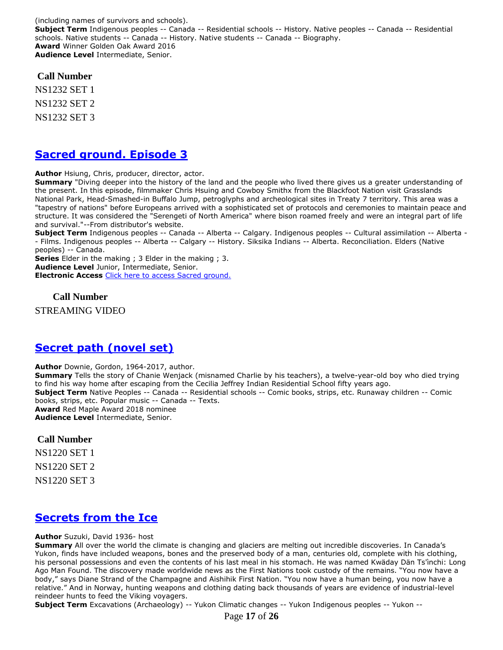(including names of survivors and schools). **Subject Term** Indigenous peoples -- Canada -- Residential schools -- History. Native peoples -- Canada -- Residential schools. Native students -- Canada -- History. Native students -- Canada -- Biography. **Award** Winner Golden Oak Award 2016 **Audience Level** Intermediate, Senior.

**Call Number**

NS1232 SET 1 NS1232 SET 2 NS1232 SET 3

### **[Sacred ground. Episode 3](https://ug.ent.sirsidynix.net/client/en_CA/TJR/search/detailnonmodal/ent:$002f$002fSD_ILS$002f0$002fSD_ILS:321566/email?)**

**Author** Hsiung, Chris, producer, director, actor.

**Summary** "Diving deeper into the history of the land and the people who lived there gives us a greater understanding of the present. In this episode, filmmaker Chris Hsuing and Cowboy Smithx from the Blackfoot Nation visit Grasslands National Park, Head-Smashed-in Buffalo Jump, petroglyphs and archeological sites in Treaty 7 territory. This area was a "tapestry of nations" before Europeans arrived with a sophisticated set of protocols and ceremonies to maintain peace and structure. It was considered the "Serengeti of North America" where bison roamed freely and were an integral part of life and survival."--From distributor's website.

**Subject Term** Indigenous peoples -- Canada -- Alberta -- Calgary. Indigenous peoples -- Cultural assimilation -- Alberta - - Films. Indigenous peoples -- Alberta -- Calgary -- History. Siksika Indians -- Alberta. Reconciliation. Elders (Native peoples) -- Canada.

**Series** Elder in the making ; 3 Elder in the making ; 3. **Audience Level** Junior, Intermediate, Senior. **Electronic Access** [Click here to access Sacred ground.](https://learn360.infobase.com/p_ViewVideo.aspx?customID=52233)

**Call Number**

STREAMING VIDEO

## **[Secret path \(novel set\)](https://ug.ent.sirsidynix.net/client/en_CA/TJR/search/detailnonmodal/ent:$002f$002fSD_ILS$002f0$002fSD_ILS:305365/email?)**

**Author** Downie, Gordon, 1964-2017, author.

**Summary** Tells the story of Chanie Wenjack (misnamed Charlie by his teachers), a twelve-year-old boy who died trying to find his way home after escaping from the Cecilia Jeffrey Indian Residential School fifty years ago. **Subject Term** Native Peoples -- Canada -- Residential schools -- Comic books, strips, etc. Runaway children -- Comic books, strips, etc. Popular music -- Canada -- Texts. **Award** Red Maple Award 2018 nominee **Audience Level** Intermediate, Senior.

#### **Call Number**

NS1220 SET 1

NS1220 SET 2

NS1220 SET 3

## **[Secrets from the Ice](https://ug.ent.sirsidynix.net/client/en_CA/TJR/search/detailnonmodal/ent:$002f$002fSD_ILS$002f0$002fSD_ILS:307018/email?)**

**Author** Suzuki, David 1936- host

**Summary** All over the world the climate is changing and glaciers are melting out incredible discoveries. In Canada's Yukon, finds have included weapons, bones and the preserved body of a man, centuries old, complete with his clothing, his personal possessions and even the contents of his last meal in his stomach. He was named Kwäday Dän Ts'ìnchi: Long Ago Man Found. The discovery made worldwide news as the First Nations took custody of the remains. "You now have a body," says Diane Strand of the Champagne and Aishihik First Nation. "You now have a human being, you now have a relative." And in Norway, hunting weapons and clothing dating back thousands of years are evidence of industrial-level reindeer hunts to feed the Viking voyagers.

**Subject Term** Excavations (Archaeology) -- Yukon Climatic changes -- Yukon Indigenous peoples -- Yukon --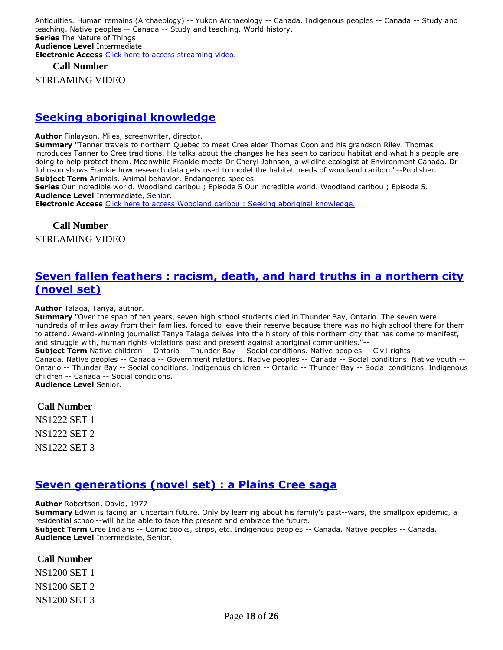Antiquities. Human remains (Archaeology) -- Yukon Archaeology -- Canada. Indigenous peoples -- Canada -- Study and teaching. Native peoples -- Canada -- Study and teaching. World history. **Series** The Nature of Things **Audience Level** Intermediate **Electronic Access** [Click here to access streaming video.](http://curio.ca/en/video/secrets-from-the-ice-15966/)

#### **Call Number**

STREAMING VIDEO

#### **[Seeking aboriginal knowledge](https://ug.ent.sirsidynix.net/client/en_CA/TJR/search/detailnonmodal/ent:$002f$002fSD_ILS$002f0$002fSD_ILS:296704/email?)**

**Author** Finlayson, Miles, screenwriter, director.

**Summary** "Tanner travels to northern Quebec to meet Cree elder Thomas Coon and his grandson Riley. Thomas introduces Tanner to Cree traditions. He talks about the changes he has seen to caribou habitat and what his people are doing to help protect them. Meanwhile Frankie meets Dr Cheryl Johnson, a wildlife ecologist at Environment Canada. Dr Johnson shows Frankie how research data gets used to model the habitat needs of woodland caribou."--Publisher. **Subject Term** Animals. Animal behavior. Endangered species.

**Series** Our incredible world. Woodland caribou ; Episode 5 Our incredible world. Woodland caribou ; Episode 5. **Audience Level** Intermediate, Senior.

**Electronic Access** [Click here to access Woodland caribou : Seeking aboriginal knowledge.](http://learn360.infobase.com/p_ViewVideo.aspx?customID=49377)

**Call Number** STREAMING VIDEO

#### **[Seven fallen feathers : racism, death, and hard truths in a northern city](https://ug.ent.sirsidynix.net/client/en_CA/TJR/search/detailnonmodal/ent:$002f$002fSD_ILS$002f0$002fSD_ILS:314632/email?) [\(novel set\)](https://ug.ent.sirsidynix.net/client/en_CA/TJR/search/detailnonmodal/ent:$002f$002fSD_ILS$002f0$002fSD_ILS:314632/email?)**

**Author** Talaga, Tanya, author.

**Summary** "Over the span of ten years, seven high school students died in Thunder Bay, Ontario. The seven were hundreds of miles away from their families, forced to leave their reserve because there was no high school there for them to attend. Award-winning journalist Tanya Talaga delves into the history of this northern city that has come to manifest, and struggle with, human rights violations past and present against aboriginal communities."--

**Subject Term** Native children -- Ontario -- Thunder Bay -- Social conditions. Native peoples -- Civil rights -- Canada. Native peoples -- Canada -- Government relations. Native peoples -- Canada -- Social conditions. Native youth -- Ontario -- Thunder Bay -- Social conditions. Indigenous children -- Ontario -- Thunder Bay -- Social conditions. Indigenous children -- Canada -- Social conditions. **Audience Level** Senior.

**Call Number**

NS1222 SET 1 NS1222 SET 2 NS1222 SET 3

#### **[Seven generations \(novel set\) : a Plains Cree saga](https://ug.ent.sirsidynix.net/client/en_CA/TJR/search/detailnonmodal/ent:$002f$002fSD_ILS$002f0$002fSD_ILS:257675/email?)**

**Author** Robertson, David, 1977-

**Summary** Edwin is facing an uncertain future. Only by learning about his family's past--wars, the smallpox epidemic, a residential school--will he be able to face the present and embrace the future.

**Subject Term** Cree Indians -- Comic books, strips, etc. Indigenous peoples -- Canada. Native peoples -- Canada. **Audience Level** Intermediate, Senior.

#### **Call Number**

NS1200 SET 1 NS1200 SET 2 NS1200 SET 3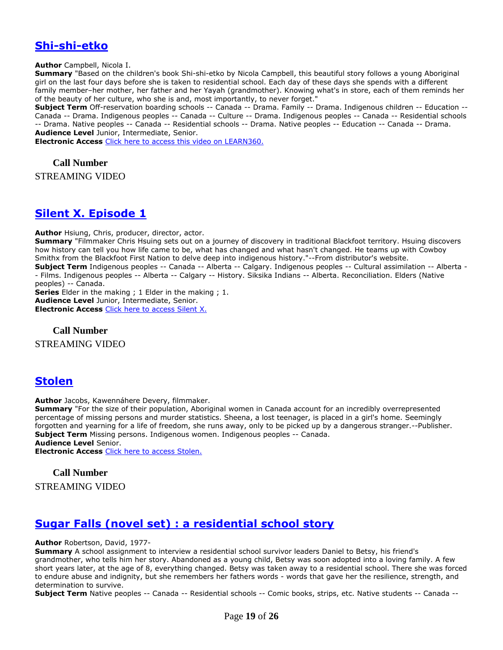## **[Shi-shi-etko](https://ug.ent.sirsidynix.net/client/en_CA/TJR/search/detailnonmodal/ent:$002f$002fSD_ILS$002f0$002fSD_ILS:232318/email?)**

**Author** Campbell, Nicola I.

**Summary** "Based on the children's book Shi-shi-etko by Nicola Campbell, this beautiful story follows a young Aboriginal girl on the last four days before she is taken to residential school. Each day of these days she spends with a different family member–her mother, her father and her Yayah (grandmother). Knowing what's in store, each of them reminds her of the beauty of her culture, who she is and, most importantly, to never forget."

**Subject Term** Off-reservation boarding schools -- Canada -- Drama. Family -- Drama. Indigenous children -- Education -- Canada -- Drama. Indigenous peoples -- Canada -- Culture -- Drama. Indigenous peoples -- Canada -- Residential schools -- Drama. Native peoples -- Canada -- Residential schools -- Drama. Native peoples -- Education -- Canada -- Drama. **Audience Level** Junior, Intermediate, Senior.

**Electronic Access** [Click here to access this video on LEARN360.](http://www.learn360.com/ShowVideo.aspx?ID=355097)

**Call Number**

STREAMING VIDEO

#### **[Silent X. Episode 1](https://ug.ent.sirsidynix.net/client/en_CA/TJR/search/detailnonmodal/ent:$002f$002fSD_ILS$002f0$002fSD_ILS:321564/email?)**

**Author** Hsiung, Chris, producer, director, actor.

**Summary** "Filmmaker Chris Hsuing sets out on a journey of discovery in traditional Blackfoot territory. Hsuing discovers how history can tell you how life came to be, what has changed and what hasn't changed. He teams up with Cowboy Smithx from the Blackfoot First Nation to delve deep into indigenous history."--From distributor's website. **Subject Term** Indigenous peoples -- Canada -- Alberta -- Calgary. Indigenous peoples -- Cultural assimilation -- Alberta -

- Films. Indigenous peoples -- Alberta -- Calgary -- History. Siksika Indians -- Alberta. Reconciliation. Elders (Native peoples) -- Canada.

**Series** Elder in the making ; 1 Elder in the making ; 1. **Audience Level** Junior, Intermediate, Senior. **Electronic Access** [Click here to access Silent X.](https://learn360.infobase.com/p_ViewVideo.aspx?customID=52231)

#### **Call Number**

STREAMING VIDEO

#### **[Stolen](https://ug.ent.sirsidynix.net/client/en_CA/TJR/search/detailnonmodal/ent:$002f$002fSD_ILS$002f0$002fSD_ILS:322088/email?)**

**Author** Jacobs, Kawennáhere Devery, filmmaker.

**Summary** "For the size of their population, Aboriginal women in Canada account for an incredibly overrepresented percentage of missing persons and murder statistics. Sheena, a lost teenager, is placed in a girl's home. Seemingly forgotten and yearning for a life of freedom, she runs away, only to be picked up by a dangerous stranger.--Publisher. **Subject Term** Missing persons. Indigenous women. Indigenous peoples -- Canada. **Audience Level** Senior.

**Electronic Access** [Click here to access Stolen.](https://learn360.infobase.com/p_ViewVideo.aspx?customID=52272)

#### **Call Number**

STREAMING VIDEO

#### **Sugar Falls (novel set) : [a residential school story](https://ug.ent.sirsidynix.net/client/en_CA/TJR/search/detailnonmodal/ent:$002f$002fSD_ILS$002f0$002fSD_ILS:285915/email?)**

**Author** Robertson, David, 1977-

**Summary** A school assignment to interview a residential school survivor leaders Daniel to Betsy, his friend's grandmother, who tells him her story. Abandoned as a young child, Betsy was soon adopted into a loving family. A few short years later, at the age of 8, everything changed. Betsy was taken away to a residential school. There she was forced to endure abuse and indignity, but she remembers her fathers words - words that gave her the resilience, strength, and determination to survive.

**Subject Term** Native peoples -- Canada -- Residential schools -- Comic books, strips, etc. Native students -- Canada --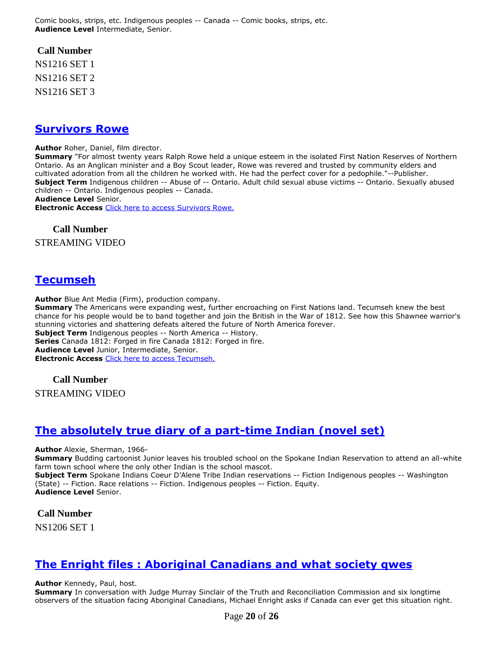Comic books, strips, etc. Indigenous peoples -- Canada -- Comic books, strips, etc. **Audience Level** Intermediate, Senior.

#### **Call Number**

NS1216 SET 1 NS1216 SET 2 NS1216 SET 3

#### **[Survivors Rowe](https://ug.ent.sirsidynix.net/client/en_CA/TJR/search/detailnonmodal/ent:$002f$002fSD_ILS$002f0$002fSD_ILS:322093/email?)**

**Author** Roher, Daniel, film director.

**Summary** "For almost twenty years Ralph Rowe held a unique esteem in the isolated First Nation Reserves of Northern Ontario. As an Anglican minister and a Boy Scout leader, Rowe was revered and trusted by community elders and cultivated adoration from all the children he worked with. He had the perfect cover for a pedophile."--Publisher. **Subject Term** Indigenous children -- Abuse of -- Ontario. Adult child sexual abuse victims -- Ontario. Sexually abused children -- Ontario. Indigenous peoples -- Canada.

**Audience Level** Senior.

**Electronic Access** [Click here to access Survivors Rowe.](https://learn360.infobase.com/p_ViewVideo.aspx?customID=52273)

#### **Call Number**

STREAMING VIDEO

#### **[Tecumseh](https://ug.ent.sirsidynix.net/client/en_CA/TJR/search/detailnonmodal/ent:$002f$002fSD_ILS$002f0$002fSD_ILS:287244/email?)**

**Author** Blue Ant Media (Firm), production company.

**Summary** The Americans were expanding west, further encroaching on First Nations land. Tecumseh knew the best chance for his people would be to band together and join the British in the War of 1812. See how this Shawnee warrior's stunning victories and shattering defeats altered the future of North America forever. **Subject Term** Indigenous peoples -- North America -- History. **Series** Canada 1812: Forged in fire Canada 1812: Forged in fire.

**Audience Level** Junior, Intermediate, Senior. **Electronic Access** [Click here to access Tecumseh.](http://www.learn360.com/ShowVideo.aspx?ID=1225844)

#### **Call Number**

STREAMING VIDEO

## **[The absolutely true diary of a part-time Indian \(novel set\)](https://ug.ent.sirsidynix.net/client/en_CA/TJR/search/detailnonmodal/ent:$002f$002fSD_ILS$002f0$002fSD_ILS:274948/email?)**

**Author** Alexie, Sherman, 1966-

**Summary** Budding cartoonist Junior leaves his troubled school on the Spokane Indian Reservation to attend an all-white farm town school where the only other Indian is the school mascot.

**Subject Term** Spokane Indians Coeur D'Alene Tribe Indian reservations -- Fiction Indigenous peoples -- Washington (State) -- Fiction. Race relations -- Fiction. Indigenous peoples -- Fiction. Equity. **Audience Level** Senior.

**Call Number**

NS1206 SET 1

## **The Enright files : [Aboriginal Canadians and what society qwes](https://ug.ent.sirsidynix.net/client/en_CA/TJR/search/detailnonmodal/ent:$002f$002fSD_ILS$002f0$002fSD_ILS:310976/email?)**

**Author** Kennedy, Paul, host.

**Summary** In conversation with Judge Murray Sinclair of the Truth and Reconciliation Commission and six longtime observers of the situation facing Aboriginal Canadians, Michael Enright asks if Canada can ever get this situation right.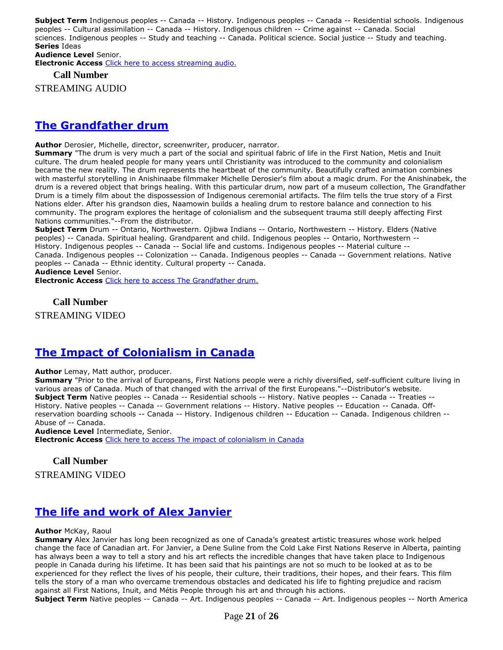**Subject Term** Indigenous peoples -- Canada -- History. Indigenous peoples -- Canada -- Residential schools. Indigenous peoples -- Cultural assimilation -- Canada -- History. Indigenous children -- Crime against -- Canada. Social sciences. Indigenous peoples -- Study and teaching -- Canada. Political science. Social justice -- Study and teaching. **Series** Ideas **Audience Level** Senior.

**Electronic Access** [Click here to access streaming audio.](http://curio.ca/en/audio/the-enright-files-aboriginal-canadians-and-what-society-owes-3495/)

**Call Number**

STREAMING AUDIO

### **[The Grandfather drum](https://ug.ent.sirsidynix.net/client/en_CA/TJR/search/detailnonmodal/ent:$002f$002fSD_ILS$002f0$002fSD_ILS:322090/email?)**

**Author** Derosier, Michelle, director, screenwriter, producer, narrator.

**Summary** "The drum is very much a part of the social and spiritual fabric of life in the First Nation, Metis and Inuit culture. The drum healed people for many years until Christianity was introduced to the community and colonialism became the new reality. The drum represents the heartbeat of the community. Beautifully crafted animation combines with masterful storytelling in Anishinaabe filmmaker Michelle Derosier's film about a magic drum. For the Anishinabek, the drum is a revered object that brings healing. With this particular drum, now part of a museum collection, The Grandfather Drum is a timely film about the dispossession of Indigenous ceremonial artifacts. The film tells the true story of a First Nations elder. After his grandson dies, Naamowin builds a healing drum to restore balance and connection to his community. The program explores the heritage of colonialism and the subsequent trauma still deeply affecting First Nations communities."--From the distributor.

**Subject Term** Drum -- Ontario, Northwestern. Ojibwa Indians -- Ontario, Northwestern -- History. Elders (Native peoples) -- Canada. Spiritual healing. Grandparent and child. Indigenous peoples -- Ontario, Northwestern -- History. Indigenous peoples -- Canada -- Social life and customs. Indigenous peoples -- Material culture -- Canada. Indigenous peoples -- Colonization -- Canada. Indigenous peoples -- Canada -- Government relations. Native peoples -- Canada -- Ethnic identity. Cultural property -- Canada. **Audience Level** Senior.

**Electronic Access** [Click here to access The Grandfather drum.](https://learn360.infobase.com/p_ViewVideo.aspx?customID=52309)

**Call Number**

STREAMING VIDEO

## **[The Impact of Colonialism in Canada](https://ug.ent.sirsidynix.net/client/en_CA/TJR/search/detailnonmodal/ent:$002f$002fSD_ILS$002f0$002fSD_ILS:314509/email?)**

**Author** Lemay, Matt author, producer.

**Summary** "Prior to the arrival of Europeans, First Nations people were a richly diversified, self-sufficient culture living in various areas of Canada. Much of that changed with the arrival of the first Europeans."--Distributor's website. **Subject Term** Native peoples -- Canada -- Residential schools -- History. Native peoples -- Canada -- Treaties -- History. Native peoples -- Canada -- Government relations -- History. Native peoples -- Education -- Canada. Offreservation boarding schools -- Canada -- History. Indigenous children -- Education -- Canada. Indigenous children -- Abuse of -- Canada.

**Audience Level** Intermediate, Senior. **Electronic Access** [Click here to access The impact of colonialism in Canada](https://learn360.infobase.com/p_ViewVideo.aspx?customID=51553)

#### **Call Number**

STREAMING VIDEO

#### **[The life and work of Alex Janvier](https://ug.ent.sirsidynix.net/client/en_CA/TJR/search/detailnonmodal/ent:$002f$002fSD_ILS$002f0$002fSD_ILS:285838/email?)**

#### **Author** McKay, Raoul

**Summary** Alex Janvier has long been recognized as one of Canada's greatest artistic treasures whose work helped change the face of Canadian art. For Janvier, a Dene Suline from the Cold Lake First Nations Reserve in Alberta, painting has always been a way to tell a story and his art reflects the incredible changes that have taken place to Indigenous people in Canada during his lifetime. It has been said that his paintings are not so much to be looked at as to be experienced for they reflect the lives of his people, their culture, their traditions, their hopes, and their fears. This film tells the story of a man who overcame tremendous obstacles and dedicated his life to fighting prejudice and racism against all First Nations, Inuit, and Métis People through his art and through his actions.

**Subject Term** Native peoples -- Canada -- Art. Indigenous peoples -- Canada -- Art. Indigenous peoples -- North America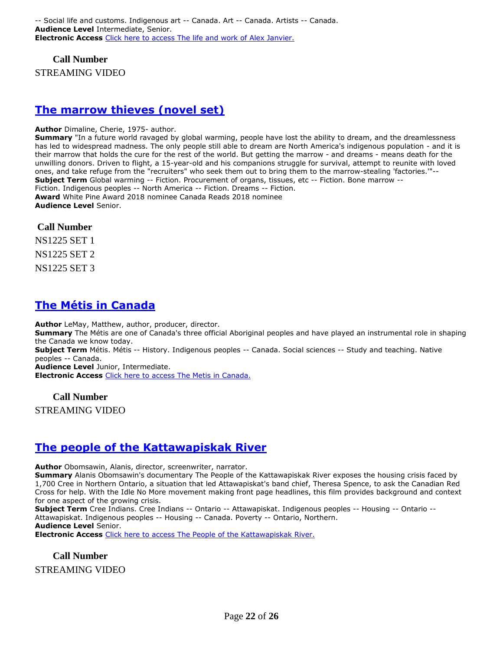**Call Number**

STREAMING VIDEO

#### **[The marrow thieves \(novel set\)](https://ug.ent.sirsidynix.net/client/en_CA/TJR/search/detailnonmodal/ent:$002f$002fSD_ILS$002f0$002fSD_ILS:314660/email?)**

#### **Author** Dimaline, Cherie, 1975- author.

**Summary** "In a future world ravaged by global warming, people have lost the ability to dream, and the dreamlessness has led to widespread madness. The only people still able to dream are North America's indigenous population - and it is their marrow that holds the cure for the rest of the world. But getting the marrow - and dreams - means death for the unwilling donors. Driven to flight, a 15-year-old and his companions struggle for survival, attempt to reunite with loved ones, and take refuge from the "recruiters" who seek them out to bring them to the marrow-stealing 'factories.'"-- **Subject Term** Global warming -- Fiction. Procurement of organs, tissues, etc -- Fiction. Bone marrow -- Fiction. Indigenous peoples -- North America -- Fiction. Dreams -- Fiction. **Award** White Pine Award 2018 nominee Canada Reads 2018 nominee **Audience Level** Senior.

#### **Call Number**

NS1225 SET 1

NS1225 SET 2

NS1225 SET 3

# **[The Métis in Canada](https://ug.ent.sirsidynix.net/client/en_CA/TJR/search/detailnonmodal/ent:$002f$002fSD_ILS$002f0$002fSD_ILS:296971/email?)**

**Author** LeMay, Matthew, author, producer, director.

**Summary** The Métis are one of Canada's three official Aboriginal peoples and have played an instrumental role in shaping the Canada we know today.

**Subject Term** Métis. Métis -- History. Indigenous peoples -- Canada. Social sciences -- Study and teaching. Native peoples -- Canada.

**Audience Level** Junior, Intermediate.

**Electronic Access** [Click here to access The Metis in Canada.](http://learn360.infobase.com/p_ViewVideo.aspx?customID=49348)

#### **Call Number**

STREAMING VIDEO

## **[The people of the Kattawapiskak River](https://ug.ent.sirsidynix.net/client/en_CA/TJR/search/detailnonmodal/ent:$002f$002fSD_ILS$002f0$002fSD_ILS:296990/email?)**

**Author** Obomsawin, Alanis, director, screenwriter, narrator.

**Summary** Alanis Obomsawin's documentary The People of the Kattawapiskak River exposes the housing crisis faced by 1,700 Cree in Northern Ontario, a situation that led Attawapiskat's band chief, Theresa Spence, to ask the Canadian Red Cross for help. With the Idle No More movement making front page headlines, this film provides background and context for one aspect of the growing crisis.

**Subject Term** Cree Indians. Cree Indians -- Ontario -- Attawapiskat. Indigenous peoples -- Housing -- Ontario --

Attawapiskat. Indigenous peoples -- Housing -- Canada. Poverty -- Ontario, Northern.

**Audience Level** Senior.

**Electronic Access** [Click here to access The People of the Kattawapiskak River.](http://learn360.infobase.com/p_ViewVideo.aspx?customID=50069)

#### **Call Number** STREAMING VIDEO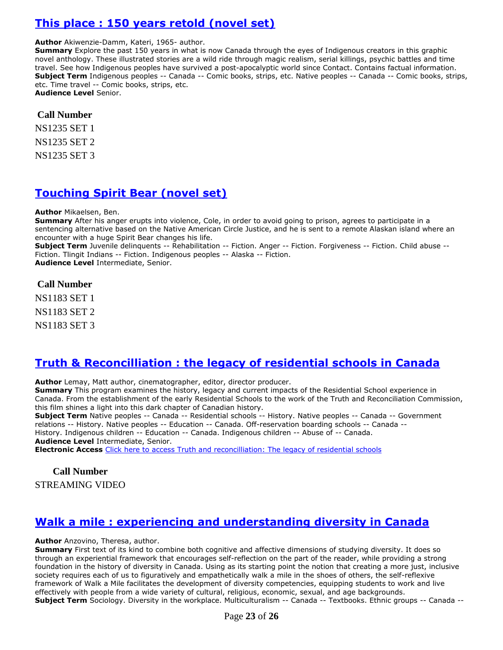# **[This place : 150 years retold \(novel set\)](https://ug.ent.sirsidynix.net/client/en_CA/TJR/search/detailnonmodal/ent:$002f$002fSD_ILS$002f0$002fSD_ILS:323064/email?)**

#### **Author** Akiwenzie-Damm, Kateri, 1965- author.

**Summary** Explore the past 150 years in what is now Canada through the eyes of Indigenous creators in this graphic novel anthology. These illustrated stories are a wild ride through magic realism, serial killings, psychic battles and time travel. See how Indigenous peoples have survived a post-apocalyptic world since Contact. Contains factual information. **Subject Term** Indigenous peoples -- Canada -- Comic books, strips, etc. Native peoples -- Canada -- Comic books, strips, etc. Time travel -- Comic books, strips, etc. **Audience Level** Senior.

#### **Call Number**

NS1235 SET 1

NS1235 SET 2

NS1235 SET 3

### **[Touching Spirit Bear \(novel set\)](https://ug.ent.sirsidynix.net/client/en_CA/TJR/search/detailnonmodal/ent:$002f$002fSD_ILS$002f0$002fSD_ILS:205559/email?)**

#### **Author** Mikaelsen, Ben.

**Summary** After his anger erupts into violence, Cole, in order to avoid going to prison, agrees to participate in a sentencing alternative based on the Native American Circle Justice, and he is sent to a remote Alaskan island where an encounter with a huge Spirit Bear changes his life.

**Subject Term** Juvenile delinquents -- Rehabilitation -- Fiction. Anger -- Fiction. Forgiveness -- Fiction. Child abuse -- Fiction. Tlingit Indians -- Fiction. Indigenous peoples -- Alaska -- Fiction. **Audience Level** Intermediate, Senior.

#### **Call Number**

NS1183 SET 1 NS1183 SET 2 NS1183 SET 3

## **Truth & Reconcilliation : [the legacy of residential schools in Canada](https://ug.ent.sirsidynix.net/client/en_CA/TJR/search/detailnonmodal/ent:$002f$002fSD_ILS$002f0$002fSD_ILS:314513/email?)**

**Author** Lemay, Matt author, cinematographer, editor, director producer.

**Summary** This program examines the history, legacy and current impacts of the Residential School experience in Canada. From the establishment of the early Residential Schools to the work of the Truth and Reconciliation Commission, this film shines a light into this dark chapter of Canadian history.

**Subject Term** Native peoples -- Canada -- Residential schools -- History. Native peoples -- Canada -- Government relations -- History. Native peoples -- Education -- Canada. Off-reservation boarding schools -- Canada -- History. Indigenous children -- Education -- Canada. Indigenous children -- Abuse of -- Canada. **Audience Level** Intermediate, Senior.

**Electronic Access** [Click here to access Truth and reconcilliation: The legacy of residential schools](https://learn360.infobase.com/p_ViewVideo.aspx?customID=51562)

### **Call Number**

STREAMING VIDEO

## **[Walk a mile : experiencing and understanding diversity in Canada](https://ug.ent.sirsidynix.net/client/en_CA/TJR/search/detailnonmodal/ent:$002f$002fSD_ILS$002f0$002fSD_ILS:285429/email?)**

#### **Author** Anzovino, Theresa, author.

**Summary** First text of its kind to combine both cognitive and affective dimensions of studying diversity. It does so through an experiential framework that encourages self-reflection on the part of the reader, while providing a strong foundation in the history of diversity in Canada. Using as its starting point the notion that creating a more just, inclusive society requires each of us to figuratively and empathetically walk a mile in the shoes of others, the self-reflexive framework of Walk a Mile facilitates the development of diversity competencies, equipping students to work and live effectively with people from a wide variety of cultural, religious, economic, sexual, and age backgrounds. **Subject Term** Sociology. Diversity in the workplace. Multiculturalism -- Canada -- Textbooks. Ethnic groups -- Canada --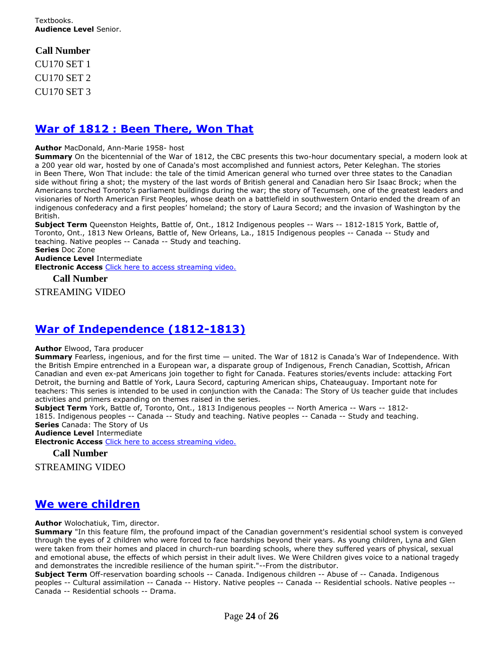# **Call Number**

CU170 SET 1 CU170 SET 2 CU170 SET 3

## **[War of 1812 : Been There, Won That](https://ug.ent.sirsidynix.net/client/en_CA/TJR/search/detailnonmodal/ent:$002f$002fSD_ILS$002f0$002fSD_ILS:310380/email?)**

#### **Author** MacDonald, Ann-Marie 1958- host

**Summary** On the bicentennial of the War of 1812, the CBC presents this two-hour documentary special, a modern look at a 200 year old war, hosted by one of Canada's most accomplished and funniest actors, Peter Keleghan. The stories in Been There, Won That include: the tale of the timid American general who turned over three states to the Canadian side without firing a shot; the mystery of the last words of British general and Canadian hero Sir Isaac Brock; when the Americans torched Toronto's parliament buildings during the war; the story of Tecumseh, one of the greatest leaders and visionaries of North American First Peoples, whose death on a battlefield in southwestern Ontario ended the dream of an indigenous confederacy and a first peoples' homeland; the story of Laura Secord; and the invasion of Washington by the British.

**Subject Term** Queenston Heights, Battle of, Ont., 1812 Indigenous peoples -- Wars -- 1812-1815 York, Battle of, Toronto, Ont., 1813 New Orleans, Battle of, New Orleans, La., 1815 Indigenous peoples -- Canada -- Study and teaching. Native peoples -- Canada -- Study and teaching.

**Series** Doc Zone

**Audience Level** Intermediate

**Electronic Access** [Click here to access streaming video.](http://curio.ca/en/video/war-of-1812-been-there-won-that-1496/)

**Call Number**

STREAMING VIDEO

## **[War of Independence \(1812-1813\)](https://ug.ent.sirsidynix.net/client/en_CA/TJR/search/detailnonmodal/ent:$002f$002fSD_ILS$002f0$002fSD_ILS:307159/email?)**

#### **Author** Elwood, Tara producer

**Summary** Fearless, ingenious, and for the first time — united. The War of 1812 is Canada's War of Independence. With the British Empire entrenched in a European war, a disparate group of Indigenous, French Canadian, Scottish, African Canadian and even ex-pat Americans join together to fight for Canada. Features stories/events include: attacking Fort Detroit, the burning and Battle of York, Laura Secord, capturing American ships, Chateauguay. Important note for teachers: This series is intended to be used in conjunction with the Canada: The Story of Us teacher guide that includes activities and primers expanding on themes raised in the series.

**Subject Term** York, Battle of, Toronto, Ont., 1813 Indigenous peoples -- North America -- Wars -- 1812- 1815. Indigenous peoples -- Canada -- Study and teaching. Native peoples -- Canada -- Study and teaching. **Series** Canada: The Story of Us **Audience Level** Intermediate

**Electronic Access** [Click here to access streaming video.](http://curio.ca/en/video/war-of-independence-1812-1813-15011/)

**Call Number**

STREAMING VIDEO

# **[We were children](https://ug.ent.sirsidynix.net/client/en_CA/TJR/search/detailnonmodal/ent:$002f$002fSD_ILS$002f0$002fSD_ILS:296969/email?)**

**Author** Wolochatiuk, Tim, director.

**Summary** "In this feature film, the profound impact of the Canadian government's residential school system is conveyed through the eyes of 2 children who were forced to face hardships beyond their years. As young children, Lyna and Glen were taken from their homes and placed in church-run boarding schools, where they suffered years of physical, sexual and emotional abuse, the effects of which persist in their adult lives. We Were Children gives voice to a national tragedy and demonstrates the incredible resilience of the human spirit."--From the distributor.

**Subject Term** Off-reservation boarding schools -- Canada. Indigenous children -- Abuse of -- Canada. Indigenous peoples -- Cultural assimilation -- Canada -- History. Native peoples -- Canada -- Residential schools. Native peoples -- Canada -- Residential schools -- Drama.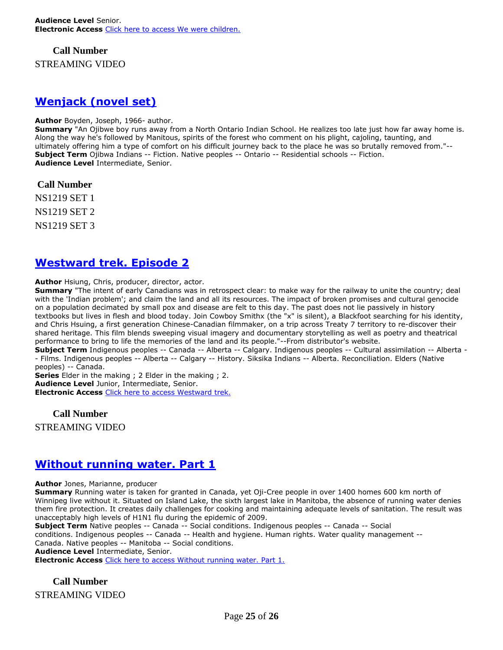**Call Number** STREAMING VIDEO

### **[Wenjack \(novel set\)](https://ug.ent.sirsidynix.net/client/en_CA/TJR/search/detailnonmodal/ent:$002f$002fSD_ILS$002f0$002fSD_ILS:296627/email?)**

#### **Author** Boyden, Joseph, 1966- author.

**Summary** "An Ojibwe boy runs away from a North Ontario Indian School. He realizes too late just how far away home is. Along the way he's followed by Manitous, spirits of the forest who comment on his plight, cajoling, taunting, and ultimately offering him a type of comfort on his difficult journey back to the place he was so brutally removed from."-- **Subject Term** Ojibwa Indians -- Fiction. Native peoples -- Ontario -- Residential schools -- Fiction. **Audience Level** Intermediate, Senior.

**Call Number**

NS1219 SET 1 NS1219 SET 2

NS1219 SET 3

### **[Westward trek. Episode 2](https://ug.ent.sirsidynix.net/client/en_CA/TJR/search/detailnonmodal/ent:$002f$002fSD_ILS$002f0$002fSD_ILS:321565/email?)**

**Author** Hsiung, Chris, producer, director, actor.

**Summary** "The intent of early Canadians was in retrospect clear: to make way for the railway to unite the country; deal with the 'Indian problem'; and claim the land and all its resources. The impact of broken promises and cultural genocide on a population decimated by small pox and disease are felt to this day. The past does not lie passively in history textbooks but lives in flesh and blood today. Join Cowboy Smithx (the "x" is silent), a Blackfoot searching for his identity, and Chris Hsuing, a first generation Chinese-Canadian filmmaker, on a trip across Treaty 7 territory to re-discover their shared heritage. This film blends sweeping visual imagery and documentary storytelling as well as poetry and theatrical performance to bring to life the memories of the land and its people."--From distributor's website.

**Subject Term** Indigenous peoples -- Canada -- Alberta -- Calgary. Indigenous peoples -- Cultural assimilation -- Alberta - - Films. Indigenous peoples -- Alberta -- Calgary -- History. Siksika Indians -- Alberta. Reconciliation. Elders (Native peoples) -- Canada.

**Series** Elder in the making ; 2 Elder in the making ; 2.

**Audience Level** Junior, Intermediate, Senior.

**Electronic Access** [Click here to access Westward trek.](https://learn360.infobase.com/p_ViewVideo.aspx?customID=52232)

**Call Number**

STREAMING VIDEO

#### **[Without running water. Part 1](https://ug.ent.sirsidynix.net/client/en_CA/TJR/search/detailnonmodal/ent:$002f$002fSD_ILS$002f0$002fSD_ILS:285881/email?)**

**Author** Jones, Marianne, producer

**Summary** Running water is taken for granted in Canada, yet Oji-Cree people in over 1400 homes 600 km north of Winnipeg live without it. Situated on Island Lake, the sixth largest lake in Manitoba, the absence of running water denies them fire protection. It creates daily challenges for cooking and maintaining adequate levels of sanitation. The result was unacceptably high levels of H1N1 flu during the epidemic of 2009.

**Subject Term** Native peoples -- Canada -- Social conditions. Indigenous peoples -- Canada -- Social conditions. Indigenous peoples -- Canada -- Health and hygiene. Human rights. Water quality management -- Canada. Native peoples -- Manitoba -- Social conditions.

**Audience Level** Intermediate, Senior.

**Electronic Access** [Click here to access Without running water. Part 1.](http://www.learn360.com/ShowVideo.aspx?ID=1225887)

**Call Number** STREAMING VIDEO